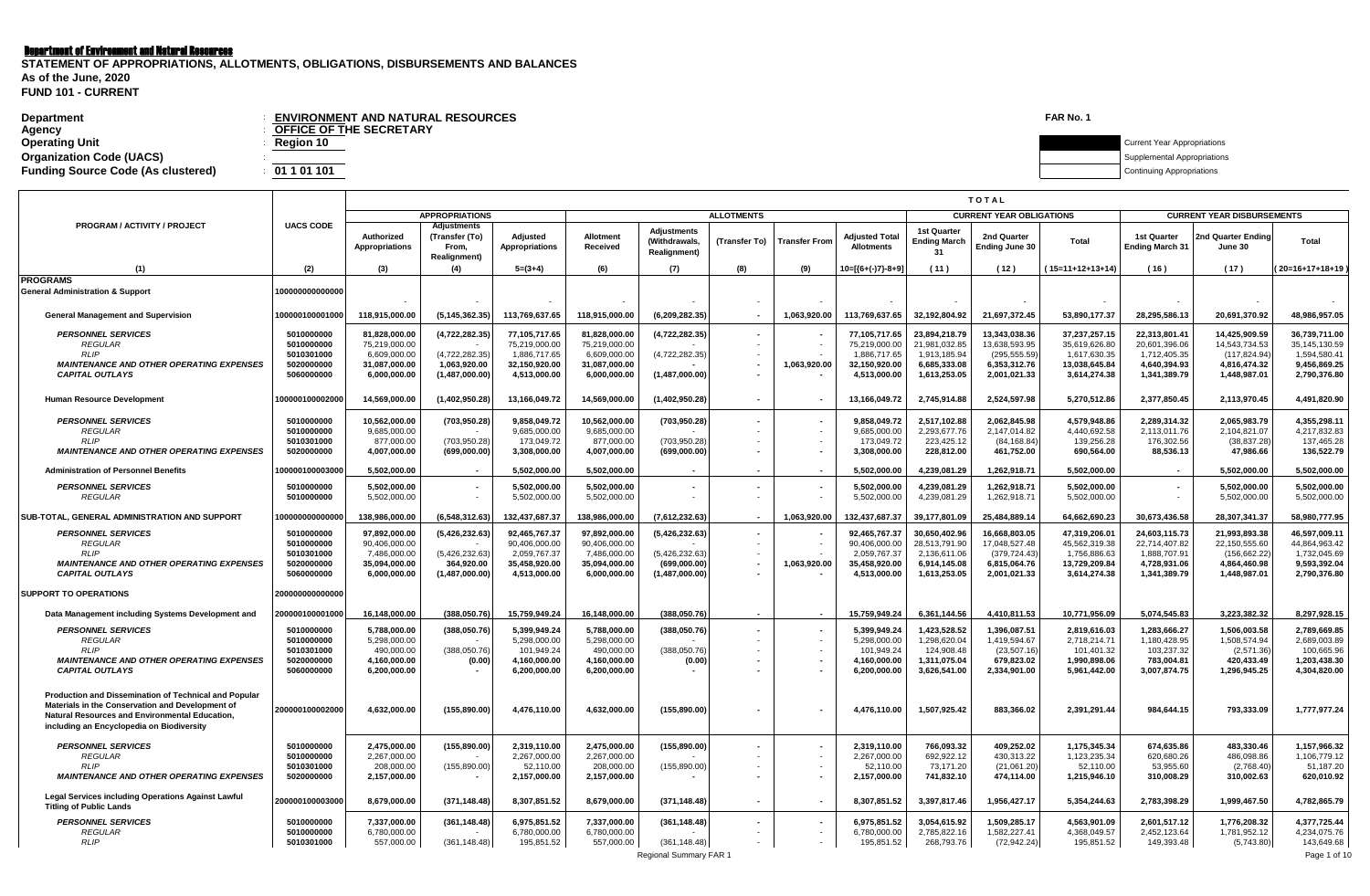## Department of Environment and Natural Resources

**STATEMENT OF APPROPRIATIONS, ALLOTMENTS, OBLIGATIONS, DISBURSEMENTS AND BALANCES As of the June, 2020**

**FUND 101 - CURRENT**

| Department                                | <b>ENVIRONMENT AND NATURAL RESOURCES</b> | FAR No. 1                          |
|-------------------------------------------|------------------------------------------|------------------------------------|
| Agency                                    | OFFICE OF THE SECRETARY                  |                                    |
| <b>Operating Unit</b>                     | Region 10                                | <b>Current Year Appropriations</b> |
| <b>Organization Code (UACS)</b>           |                                          | Supplemental Appropriations        |
| <b>Funding Source Code (As clustered)</b> | 01 1 01 101                              | <b>Continuing Appropriations</b>   |

|                                                                                                                                                                                                          |                                                                    |                                                                                 |                                                                       |                                                                                 |                                                                                 |                                                                      |                   | <b>TOTAL</b>         |                                                                                 |                                                                                |                                                                                |                                                                                 |                                                                                |                                                                               |                                                                                  |
|----------------------------------------------------------------------------------------------------------------------------------------------------------------------------------------------------------|--------------------------------------------------------------------|---------------------------------------------------------------------------------|-----------------------------------------------------------------------|---------------------------------------------------------------------------------|---------------------------------------------------------------------------------|----------------------------------------------------------------------|-------------------|----------------------|---------------------------------------------------------------------------------|--------------------------------------------------------------------------------|--------------------------------------------------------------------------------|---------------------------------------------------------------------------------|--------------------------------------------------------------------------------|-------------------------------------------------------------------------------|----------------------------------------------------------------------------------|
|                                                                                                                                                                                                          |                                                                    |                                                                                 | <b>APPROPRIATIONS</b>                                                 |                                                                                 |                                                                                 |                                                                      | <b>ALLOTMENTS</b> |                      |                                                                                 |                                                                                | <b>CURRENT YEAR OBLIGATIONS</b>                                                |                                                                                 |                                                                                | <b>CURRENT YEAR DISBURSEMENTS</b>                                             |                                                                                  |
| PROGRAM / ACTIVITY / PROJECT                                                                                                                                                                             | <b>UACS CODE</b>                                                   | Authorized<br><b>Appropriations</b>                                             | <b>Adjustments</b><br>(Transfer (To)<br>From.<br><b>Realignment</b> ) | Adjusted<br>Appropriations                                                      | <b>Allotment</b><br>Received                                                    | <b>Adiustments</b><br>(Withdrawals<br>Realignment)                   | (Transfer To)     | <b>Transfer From</b> | <b>Adjusted Total</b><br><b>Allotments</b>                                      | 1st Quarter<br><b>Ending March</b><br>31                                       | 2nd Quarter<br>Ending June 30                                                  | <b>Total</b>                                                                    | 1st Quarter<br><b>Ending March 31</b>                                          | 2nd Quarter Ending<br>June 30                                                 | Total                                                                            |
| (1)                                                                                                                                                                                                      | (2)                                                                | (3)                                                                             | (4)                                                                   | $5=(3+4)$                                                                       | (6)                                                                             | (7)                                                                  | (8)               | (9)                  | 10=[{6+(-)7}-8+9]                                                               | (11)                                                                           | (12)                                                                           | 15=11+12+13+14)                                                                 | (16)                                                                           | (17)                                                                          | 20=16+17+18+19                                                                   |
| <b>PROGRAMS</b>                                                                                                                                                                                          |                                                                    |                                                                                 |                                                                       |                                                                                 |                                                                                 |                                                                      |                   |                      |                                                                                 |                                                                                |                                                                                |                                                                                 |                                                                                |                                                                               |                                                                                  |
| <b>General Administration &amp; Support</b>                                                                                                                                                              | 100000000000000                                                    |                                                                                 |                                                                       |                                                                                 |                                                                                 |                                                                      |                   |                      |                                                                                 |                                                                                |                                                                                |                                                                                 |                                                                                |                                                                               |                                                                                  |
| <b>General Management and Supervision</b>                                                                                                                                                                | 100000100001000                                                    | 118,915,000.00                                                                  | (5, 145, 362.35)                                                      | 113,769,637.65                                                                  | 118,915,000.00                                                                  | (6, 209, 282.35)                                                     |                   | 1,063,920.00         | 113,769,637.65                                                                  | 32,192,804.92                                                                  | 21,697,372.45                                                                  | 53,890,177.37                                                                   | 28,295,586.13                                                                  | 20,691,370.92                                                                 | 48,986,957.05                                                                    |
| <b>PERSONNEL SERVICES</b><br><b>REGULAR</b><br><b>RLIP</b><br><b>MAINTENANCE AND OTHER OPERATING EXPENSES</b><br><b>CAPITAL OUTLAYS</b>                                                                  | 5010000000<br>5010000000<br>5010301000<br>5020000000<br>5060000000 | 81,828,000.00<br>75,219,000.00<br>6.609.000.00<br>31,087,000.00<br>6,000,000.00 | (4,722,282.35)<br>(4.722.282.35)<br>1,063,920.00<br>(1,487,000.00)    | 77,105,717.65<br>75,219,000.00<br>1.886.717.65<br>32,150,920.00<br>4,513,000.00 | 81,828,000.00<br>75,219,000.00<br>6.609.000.00<br>31,087,000.00<br>6,000,000.00 | (4,722,282.35)<br>(4,722,282.35)<br>(1,487,000.00)                   |                   | 1,063,920.00         | 77,105,717.65<br>75,219,000.00<br>1.886.717.65<br>32,150,920.00<br>4,513,000.00 | 23,894,218.79<br>21,981,032.85<br>1.913.185.94<br>6,685,333.08<br>1,613,253.05 | 13,343,038.36<br>13,638,593.95<br>(295.555.59)<br>6,353,312.76<br>2,001,021.33 | 37,237,257.15<br>35,619,626.80<br>1.617.630.35<br>13,038,645.84<br>3,614,274.38 | 22,313,801.41<br>20,601,396.06<br>1.712.405.35<br>4,640,394.93<br>1,341,389.79 | 14,425,909.59<br>14,543,734.53<br>(117,824.94<br>4,816,474.32<br>1,448,987.01 | 36,739,711.00<br>35, 145, 130.59<br>1.594.580.41<br>9,456,869.25<br>2,790,376.80 |
| <b>Human Resource Development</b>                                                                                                                                                                        | 100000100002000                                                    | 14.569.000.00                                                                   | (1,402,950.28)                                                        | 13.166.049.72                                                                   | 14.569.000.00                                                                   | (1,402,950.28)                                                       | $\overline{a}$    |                      | 13.166.049.72                                                                   | 2.745.914.88                                                                   | 2.524.597.98                                                                   | 5.270.512.86                                                                    | 2.377.850.45                                                                   | 2,113,970.45                                                                  | 4,491,820.90                                                                     |
| <b>PERSONNEL SERVICES</b><br><b>REGULAR</b><br><b>RLIP</b><br><b>MAINTENANCE AND OTHER OPERATING EXPENSES</b>                                                                                            | 5010000000<br>5010000000<br>5010301000<br>5020000000               | 10,562,000.00<br>9,685,000.00<br>877,000.00<br>4,007,000.00                     | (703, 950.28)<br>$\sim$<br>(703,950.28)<br>(699,000.00)               | 9,858,049.72<br>9,685,000.00<br>173,049.72<br>3,308,000.00                      | 10,562,000.00<br>9,685,000.00<br>877,000.00<br>4,007,000.00                     | (703, 950.28)<br>(703,950.28)<br>(699,000.00)                        |                   |                      | 9,858,049.72<br>9,685,000.00<br>173,049.72<br>3,308,000.00                      | 2,517,102.88<br>2,293,677.76<br>223,425.12<br>228,812.00                       | 2,062,845.98<br>2,147,014.82<br>(84,168.84)<br>461,752.00                      | 4,579,948.86<br>4,440,692.58<br>139,256.28<br>690,564.00                        | 2,289,314.32<br>2,113,011.76<br>176,302.56<br>88,536.13                        | 2,065,983.79<br>2,104,821.07<br>(38, 837.28)<br>47,986.66                     | 4,355,298.11<br>4,217,832.83<br>137,465.28<br>136,522.79                         |
| <b>Administration of Personnel Benefits</b>                                                                                                                                                              | 00000100003000                                                     | 5,502,000.00                                                                    |                                                                       | 5,502,000.00                                                                    | 5,502,000.00                                                                    |                                                                      |                   |                      | 5,502,000.00                                                                    | 4,239,081.29                                                                   | 1,262,918.71                                                                   | 5,502,000.00                                                                    |                                                                                | 5,502,000.00                                                                  | 5,502,000.00                                                                     |
| <b>PERSONNEL SERVICES</b><br><b>REGULAR</b>                                                                                                                                                              | 5010000000<br>5010000000                                           | 5,502,000.00<br>5.502.000.00                                                    | $\overline{\phantom{a}}$                                              | 5,502,000.00<br>5,502,000.00                                                    | 5,502,000.00<br>5,502,000.00                                                    |                                                                      |                   |                      | 5,502,000.00<br>5,502,000.00                                                    | 4,239,081.29<br>4,239,081.29                                                   | 1,262,918.71<br>1,262,918.71                                                   | 5,502,000.00<br>5,502,000.00                                                    |                                                                                | 5,502,000.00<br>5,502,000.00                                                  | 5,502,000.00<br>5,502,000.00                                                     |
| SUB-TOTAL. GENERAL ADMINISTRATION AND SUPPORT                                                                                                                                                            | 10000000000000                                                     | 138.986.000.00                                                                  | (6.548.312.63)                                                        | 132.437.687.37                                                                  | 138.986.000.00                                                                  | (7.612.232.63)                                                       |                   | 1.063.920.00         | 132,437,687.37                                                                  | 39.177.801.09                                                                  | 25.484.889.14                                                                  | 64.662.690.23                                                                   | 30.673.436.58                                                                  | 28.307.341.37                                                                 | 58.980.777.95                                                                    |
| <b>PERSONNEL SERVICES</b><br><b>REGULAR</b><br><b>RLIP</b><br><b>MAINTENANCE AND OTHER OPERATING EXPENSES</b><br><b>CAPITAL OUTLAYS</b>                                                                  | 5010000000<br>5010000000<br>5010301000<br>5020000000<br>5060000000 | 97,892,000.00<br>90,406,000.00<br>7,486,000.00<br>35,094,000.00<br>6,000,000.00 | (5,426,232.63)<br>(5,426,232.63)<br>364,920.00<br>(1,487,000.00)      | 92,465,767.37<br>90,406,000.00<br>2,059,767.37<br>35,458,920.00<br>4,513,000.00 | 97,892,000.00<br>90,406,000.00<br>7,486,000.00<br>35,094,000.00<br>6,000,000.00 | (5, 426, 232.63)<br>(5,426,232.63)<br>(699,000.00)<br>(1,487,000.00) |                   | 1,063,920.00         | 92,465,767.37<br>90,406,000.00<br>2,059,767.37<br>35,458,920.00<br>4,513,000.00 | 30,650,402.96<br>28,513,791.90<br>2,136,611.06<br>6.914.145.08<br>1,613,253.05 | 16,668,803.05<br>17,048,527.48<br>(379,724.43)<br>6,815,064.76<br>2,001,021.33 | 47,319,206.01<br>45,562,319.38<br>1,756,886.63<br>13,729,209.84<br>3,614,274.38 | 24,603,115.73<br>22,714,407.82<br>1,888,707.91<br>4,728,931.06<br>1,341,389.79 | 21,993,893.38<br>22,150,555.60<br>(156,662.22<br>4,864,460.98<br>1,448,987.01 | 46,597,009.11<br>44,864,963.42<br>1,732,045.69<br>9,593,392.04<br>2,790,376.80   |
| <b>SUPPORT TO OPERATIONS</b>                                                                                                                                                                             | 20000000000000                                                     |                                                                                 |                                                                       |                                                                                 |                                                                                 |                                                                      |                   |                      |                                                                                 |                                                                                |                                                                                |                                                                                 |                                                                                |                                                                               |                                                                                  |
| Data Management including Systems Development and                                                                                                                                                        | 200000100001000                                                    | 16,148,000.00                                                                   | (388.050.76)                                                          | 15.759.949.24                                                                   | 16.148.000.00                                                                   | (388.050.76)                                                         |                   |                      | 15.759.949.24                                                                   | 6.361.144.56                                                                   | 4,410,811.53                                                                   | 10,771,956.09                                                                   | 5.074.545.83                                                                   | 3.223.382.32                                                                  | 8,297,928.15                                                                     |
| <b>PERSONNEL SERVICES</b><br><b>REGULAR</b><br><b>RLIP</b><br><b>MAINTENANCE AND OTHER OPERATING EXPENSES</b><br><b>CAPITAL OUTLAYS</b>                                                                  | 5010000000<br>5010000000<br>5010301000<br>5020000000<br>5060000000 | 5.788.000.00<br>5,298,000.00<br>490,000.00<br>4,160,000.00<br>6,200,000.00      | (388,050.76)<br>(388,050.76)<br>(0.00)                                | 5.399.949.24<br>5,298,000.00<br>101,949.24<br>4,160,000.00<br>6,200,000.00      | 5.788.000.00<br>5,298,000.00<br>490,000.00<br>4,160,000.00<br>6,200,000.00      | (388,050.76)<br>(388,050.76<br>(0.00)                                |                   |                      | 5.399.949.24<br>5,298,000.00<br>101,949.24<br>4,160,000.00<br>6,200,000.00      | 1.423.528.52<br>1,298,620.04<br>124,908.48<br>1,311,075.04<br>3,626,541.00     | 1.396.087.51<br>1,419,594.67<br>(23,507.16)<br>679,823.02<br>2,334,901.00      | 2.819.616.03<br>2,718,214.71<br>101,401.32<br>1,990,898.06<br>5,961,442.00      | 1.283.666.27<br>1,180,428.95<br>103,237.32<br>783,004.81<br>3,007,874.75       | 1.506.003.58<br>1,508,574.94<br>(2.571.36)<br>420,433.49<br>1,296,945.25      | 2.789.669.85<br>2,689,003.89<br>100,665.96<br>1,203,438.30<br>4,304,820.00       |
| Production and Dissemination of Technical and Popular<br>Materials in the Conservation and Development of<br>Natural Resources and Environmental Education.<br>including an Encyclopedia on Biodiversity | 200000100002000                                                    | 4,632,000.00                                                                    | (155, 890.00)                                                         | 4,476,110.00                                                                    | 4,632,000.00                                                                    | (155, 890.00)                                                        |                   |                      | 4,476,110.00                                                                    | 1,507,925.42                                                                   | 883,366.02                                                                     | 2,391,291.44                                                                    | 984.644.15                                                                     | 793,333.09                                                                    | 1,777,977.24                                                                     |
| <b>PERSONNEL SERVICES</b><br><b>REGULAR</b><br><b>RLIP</b><br><b>MAINTENANCE AND OTHER OPERATING EXPENSES</b>                                                                                            | 5010000000<br>5010000000<br>5010301000<br>5020000000               | 2,475,000.00<br>2,267,000.00<br>208,000.00<br>2,157,000.00                      | (155, 890.00)<br>(155, 890.00)<br>$\overline{\phantom{a}}$            | 2,319,110.00<br>2,267,000.00<br>52,110.00<br>2,157,000.00                       | 2,475,000.00<br>2,267,000.00<br>208,000.00<br>2,157,000.00                      | (155, 890.00)<br>(155, 890.00)                                       |                   |                      | 2,319,110.00<br>2,267,000.00<br>52,110.00<br>2,157,000.00                       | 766,093.32<br>692,922.12<br>73,171.20<br>741,832.10                            | 409,252.02<br>430,313.22<br>(21,061.20)<br>474,114.00                          | 1,175,345.34<br>1,123,235.34<br>52,110.00<br>1,215,946.10                       | 674,635.86<br>620,680.26<br>53,955.60<br>310,008.29                            | 483,330.46<br>486,098.86<br>(2,768.40)<br>310,002.63                          | 1,157,966.32<br>1,106,779.12<br>51,187.20<br>620,010.92                          |
| Legal Services including Operations Against Lawful<br><b>Titling of Public Lands</b>                                                                                                                     | 200000100003000                                                    | 8.679.000.00                                                                    | (371, 148.48)                                                         | 8.307.851.52                                                                    | 8.679.000.00                                                                    | (371, 148.48)                                                        |                   |                      | 8.307.851.52                                                                    | 3.397.817.46                                                                   | 1.956.427.17                                                                   | 5.354.244.63                                                                    | 2.783.398.29                                                                   | 1.999.467.50                                                                  | 4,782,865.79                                                                     |
| <b>PERSONNEL SERVICES</b><br><b>REGULAR</b><br><b>RLIP</b>                                                                                                                                               | 5010000000<br>5010000000<br>5010301000                             | 7,337,000.00<br>6,780,000.00<br>557,000.00                                      | (361, 148.48)<br>(361, 148.48)                                        | 6,975,851.52<br>6,780,000.00<br>195,851.52                                      | 7,337,000.00<br>6,780,000.00<br>557,000.00                                      | (361, 148.48)<br>(361, 148.48)<br>Regional Summary FAR 1             |                   |                      | 6,975,851.52<br>6,780,000.00<br>195,851.52                                      | 3,054,615.92<br>2,785,822.16<br>268,793.76                                     | 1,509,285.17<br>1,582,227.41<br>(72, 942.24)                                   | 4,563,901.09<br>4,368,049.57<br>195,851.52                                      | 2,601,517.12<br>2,452,123.64<br>149,393.48                                     | 1,776,208.32<br>1,781,952.12<br>(5,743.80)                                    | 4,377,725.44<br>4,234,075.76<br>143,649.68<br>Page 1 of 10                       |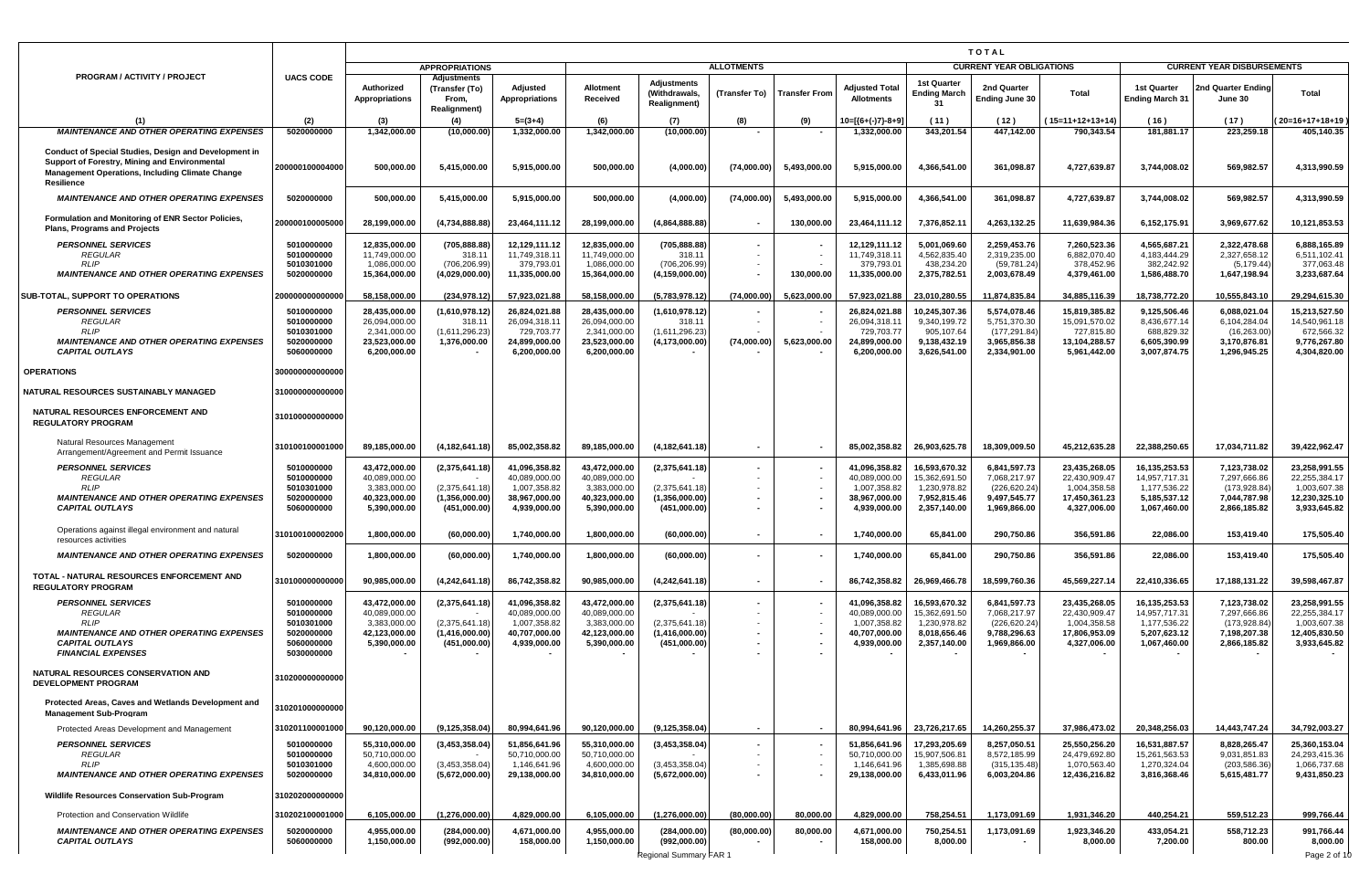|                                                                                                                                                                         |                                                                                  | <b>TOTAL</b>                                                                    |                                                                    |                                                                                 |                                                                                 |                                                                    |                   |                            |                                                                                 |                                                                                |                                                                               |                                                                                 |                                                                                   |                                                                               |                                                                                 |
|-------------------------------------------------------------------------------------------------------------------------------------------------------------------------|----------------------------------------------------------------------------------|---------------------------------------------------------------------------------|--------------------------------------------------------------------|---------------------------------------------------------------------------------|---------------------------------------------------------------------------------|--------------------------------------------------------------------|-------------------|----------------------------|---------------------------------------------------------------------------------|--------------------------------------------------------------------------------|-------------------------------------------------------------------------------|---------------------------------------------------------------------------------|-----------------------------------------------------------------------------------|-------------------------------------------------------------------------------|---------------------------------------------------------------------------------|
|                                                                                                                                                                         |                                                                                  |                                                                                 | <b>APPROPRIATIONS</b>                                              |                                                                                 |                                                                                 |                                                                    | <b>ALLOTMENTS</b> |                            |                                                                                 |                                                                                | <b>CURRENT YEAR OBLIGATIONS</b>                                               |                                                                                 |                                                                                   | <b>CURRENT YEAR DISBURSEMENTS</b>                                             |                                                                                 |
| <b>PROGRAM / ACTIVITY / PROJECT</b>                                                                                                                                     | <b>UACS CODE</b>                                                                 | Authorized<br>Appropriations                                                    | Adjustments<br>(Transfer (To)<br>From,<br><b>Realignment)</b>      | Adjusted<br>Appropriations                                                      | <b>Allotment</b><br>Received                                                    | Adjustments<br>(Withdrawals,<br><b>Realignment</b> )               | (Transfer To)     | <b>Transfer From</b>       | <b>Adjusted Total</b><br><b>Allotments</b>                                      | <b>1st Quarter</b><br><b>Ending March</b><br>31                                | 2nd Quarter<br>Ending June 30                                                 | Total                                                                           | <b>1st Quarter</b><br><b>Ending March 31</b>                                      | <b>2nd Quarter Ending</b><br>June 30                                          | Total                                                                           |
| (1)                                                                                                                                                                     | (2)                                                                              | (3)                                                                             | (4)                                                                | $5=(3+4)$                                                                       | (6)                                                                             | (7)                                                                | (8)               | (9)                        | 10=[{6+(-)7}-8+9`                                                               | (11)                                                                           | (12)                                                                          | (15=11+12+13+14)                                                                | (16)                                                                              | (17)                                                                          | $20=16+17+18+19$                                                                |
| <b>MAINTENANCE AND OTHER OPERATING EXPENSES</b>                                                                                                                         | 5020000000                                                                       | 1,342,000.00                                                                    | (10,000.00)                                                        | 1,332,000.00                                                                    | 1,342,000.00                                                                    | (10,000.00)                                                        |                   |                            | 1,332,000.00                                                                    | 343,201.54                                                                     | 447,142.00                                                                    | 790,343.54                                                                      | 181,881.17                                                                        | 223,259.18                                                                    | 405,140.35                                                                      |
| Conduct of Special Studies, Design and Development in<br>Support of Forestry, Mining and Environmental<br>Management Operations, Including Climate Change<br>Resilience | 200000100004000                                                                  | 500.000.00                                                                      | 5,415,000.00                                                       | 5,915,000.00                                                                    | 500,000.00                                                                      | (4,000.00)                                                         | (74,000.00)       | 5,493,000.00               | 5,915,000.00                                                                    | 4,366,541.00                                                                   | 361,098.87                                                                    | 4,727,639.87                                                                    | 3,744,008.02                                                                      | 569,982.57                                                                    | 4,313,990.59                                                                    |
| <b>MAINTENANCE AND OTHER OPERATING EXPENSES</b>                                                                                                                         | 5020000000                                                                       | 500,000.00                                                                      | 5,415,000.00                                                       | 5,915,000.00                                                                    | 500,000.00                                                                      | (4,000.00)                                                         | (74,000.00)       | 5,493,000.00               | 5,915,000.00                                                                    | 4,366,541.00                                                                   | 361,098.87                                                                    | 4,727,639.87                                                                    | 3,744,008.02                                                                      | 569,982.57                                                                    | 4,313,990.59                                                                    |
| Formulation and Monitoring of ENR Sector Policies,<br><b>Plans, Programs and Projects</b>                                                                               | 200000100005000                                                                  | 28,199,000.00                                                                   | (4,734,888.88)                                                     | 23,464,111.12                                                                   | 28,199,000.00                                                                   | (4,864,888.88)                                                     |                   | 130,000.00                 | 23,464,111.12                                                                   | 7,376,852.11                                                                   | 4,263,132.25                                                                  | 11,639,984.36                                                                   | 6,152,175.91                                                                      | 3,969,677.62                                                                  | 10,121,853.53                                                                   |
| <b>PERSONNEL SERVICES</b><br><b>REGULAR</b><br><b>RLIP</b><br><b>MAINTENANCE AND OTHER OPERATING EXPENSES</b>                                                           | 5010000000<br>5010000000<br>5010301000<br>5020000000                             | 12,835,000.00<br>11,749,000.00<br>1,086,000.00<br>15,364,000.00                 | (705,888.88)<br>318.11<br>(706,206.99)<br>(4,029,000.00)           | 12,129,111.12<br>11,749,318.11<br>379,793.01<br>11,335,000.00                   | 12,835,000.00<br>11,749,000.00<br>1,086,000.00<br>15,364,000.00                 | (705,888.88)<br>318.1'<br>(706,206.99)<br>(4, 159, 000.00)         |                   | 130,000.00                 | 12,129,111.12<br>11,749,318.11<br>379,793.01<br>11,335,000.00                   | 5,001,069.60<br>4,562,835.40<br>438,234.20<br>2,375,782.51                     | 2,259,453.76<br>2,319,235.00<br>(59, 781.24)<br>2,003,678.49                  | 7,260,523.36<br>6,882,070.40<br>378,452.96<br>4,379,461.00                      | 4,565,687.21<br>4,183,444.29<br>382,242.92<br>1,586,488.70                        | 2,322,478.68<br>2,327,658.12<br>(5, 179.44)<br>1,647,198.94                   | 6,888,165.89<br>6,511,102.41<br>377,063.48<br>3,233,687.64                      |
| SUB-TOTAL, SUPPORT TO OPERATIONS                                                                                                                                        | 200000000000000                                                                  | 58,158,000.00                                                                   | (234, 978.12)                                                      | 57,923,021.88                                                                   | 58,158,000.00                                                                   | (5,783,978.12                                                      | (74,000.00)       | 5,623,000.00               | 57,923,021.88                                                                   | 23,010,280.55                                                                  | 11,874,835.84                                                                 | 34,885,116.39                                                                   | 18,738,772.20                                                                     | 10,555,843.10                                                                 | 29,294,615.30                                                                   |
| <b>PERSONNEL SERVICES</b><br>REGULAR<br><b>RLIP</b><br><b>MAINTENANCE AND OTHER OPERATING EXPENSES</b><br><b>CAPITAL OUTLAYS</b>                                        | 5010000000<br>5010000000<br>5010301000<br>5020000000<br>5060000000               | 28,435,000.00<br>26,094,000.00<br>2,341,000.00<br>23,523,000.00<br>6,200,000.00 | (1,610,978.12)<br>318.11<br>(1,611,296.23)<br>1,376,000.00         | 26,824,021.88<br>26,094,318.11<br>729,703.77<br>24,899,000.00<br>6,200,000.00   | 28,435,000.00<br>26,094,000.00<br>2,341,000.00<br>23,523,000.00<br>6,200,000.00 | (1,610,978.12)<br>318.1'<br>(1,611,296.23)<br>(4,173,000.00        | (74,000.00)       | 5,623,000.00               | 26,824,021.88<br>26,094,318.1<br>729,703.77<br>24,899,000.00<br>6,200,000.00    | 10,245,307.36<br>9,340,199.72<br>905,107.64<br>9,138,432.19<br>3,626,541.00    | 5,574,078.46<br>5,751,370.30<br>(177, 291.84)<br>3,965,856.38<br>2,334,901.00 | 15,819,385.82<br>15,091,570.02<br>727,815.80<br>13,104,288.57<br>5,961,442.00   | 9,125,506.46<br>8,436,677.14<br>688,829.32<br>6,605,390.99<br>3,007,874.75        | 6,088,021.04<br>6,104,284.04<br>(16, 263.00)<br>3,170,876.81<br>1,296,945.25  | 15,213,527.50<br>14,540,961.18<br>672,566.32<br>9,776,267.80<br>4,304,820.00    |
| <b>OPERATIONS</b>                                                                                                                                                       | 300000000000000                                                                  |                                                                                 |                                                                    |                                                                                 |                                                                                 |                                                                    |                   |                            |                                                                                 |                                                                                |                                                                               |                                                                                 |                                                                                   |                                                                               |                                                                                 |
| NATURAL RESOURCES SUSTAINABLY MANAGED                                                                                                                                   | 310000000000000                                                                  |                                                                                 |                                                                    |                                                                                 |                                                                                 |                                                                    |                   |                            |                                                                                 |                                                                                |                                                                               |                                                                                 |                                                                                   |                                                                               |                                                                                 |
| NATURAL RESOURCES ENFORCEMENT AND<br><b>REGULATORY PROGRAM</b>                                                                                                          | 310100000000000                                                                  |                                                                                 |                                                                    |                                                                                 |                                                                                 |                                                                    |                   |                            |                                                                                 |                                                                                |                                                                               |                                                                                 |                                                                                   |                                                                               |                                                                                 |
| Natural Resources Management<br>Arrangement/Agreement and Permit Issuance                                                                                               | 310100100001000                                                                  | 89,185,000.00                                                                   | (4, 182, 641.18)                                                   | 85,002,358.82                                                                   | 89,185,000.00                                                                   | (4, 182, 641.18)                                                   |                   |                            | 85,002,358.82                                                                   | 26,903,625.78                                                                  | 18,309,009.50                                                                 | 45,212,635.28                                                                   | 22,388,250.65                                                                     | 17,034,711.82                                                                 | 39.422.962.47                                                                   |
| <b>PERSONNEL SERVICES</b><br>REGULAR<br><b>RLIP</b><br><b>MAINTENANCE AND OTHER OPERATING EXPENSES</b><br><b>CAPITAL OUTLAYS</b>                                        | 5010000000<br>5010000000<br>5010301000<br>5020000000<br>5060000000               | 43,472,000.00<br>40,089,000.00<br>3,383,000.00<br>40,323,000.00<br>5,390,000.00 | (2,375,641.18)<br>(2,375,641.18)<br>(1,356,000.00)<br>(451,000.00) | 41,096,358.82<br>40,089,000.00<br>1,007,358.82<br>38,967,000.00<br>4,939,000.00 | 43,472,000.00<br>40,089,000.00<br>3,383,000.00<br>40,323,000.00<br>5,390,000.00 | (2,375,641.18)<br>(2,375,641.18)<br>(1,356,000.00)<br>(451,000.00) |                   | $\sim$<br>$\sim$<br>$\sim$ | 41,096,358.82<br>40,089,000.00<br>1,007,358.82<br>38,967,000.00<br>4,939,000.00 | 16,593,670.32<br>15,362,691.50<br>1,230,978.82<br>7,952,815.46<br>2,357,140.00 | 6,841,597.73<br>7,068,217.97<br>(226,620.24)<br>9,497,545.77<br>1,969,866.00  | 23,435,268.05<br>22,430,909.47<br>1,004,358.58<br>17,450,361.23<br>4,327,006.00 | 16, 135, 253. 53<br>14,957,717.31<br>1,177,536.22<br>5,185,537.12<br>1,067,460.00 | 7,123,738.02<br>7,297,666.86<br>(173, 928.84)<br>7,044,787.98<br>2,866,185.82 | 23,258,991.55<br>22,255,384.17<br>1,003,607.38<br>12,230,325.10<br>3,933,645.82 |
| Operations against illegal environment and natural<br>resources activities                                                                                              | 310100100002000                                                                  | 1,800,000.00                                                                    | (60,000.00)                                                        | 1,740,000.00                                                                    | 1,800,000.00                                                                    | (60,000.00)                                                        |                   |                            | 1,740,000.00                                                                    | 65,841.00                                                                      | 290,750.86                                                                    | 356,591.86                                                                      | 22,086.00                                                                         | 153,419.40                                                                    | 175,505.40                                                                      |
| <b>MAINTENANCE AND OTHER OPERATING EXPENSES</b>                                                                                                                         | 5020000000                                                                       | 1,800,000.00                                                                    | (60,000.00)                                                        | 1,740,000.00                                                                    | 1,800,000.00                                                                    | (60,000.00)                                                        |                   |                            | 1,740,000.00                                                                    | 65,841.00                                                                      | 290,750.86                                                                    | 356,591.86                                                                      | 22,086.00                                                                         | 153,419.40                                                                    | 175,505.40                                                                      |
| TOTAL - NATURAL RESOURCES ENFORCEMENT AND<br><b>REGULATORY PROGRAM</b>                                                                                                  | 310100000000000                                                                  | 90,985,000.00                                                                   | (4, 242, 641.18)                                                   | 86,742,358.82                                                                   | 90,985,000.00                                                                   | (4, 242, 641.18)                                                   | $\sim$            | $\sim$                     | 86,742,358.82                                                                   | 26,969,466.78                                                                  | 18,599,760.36                                                                 | 45,569,227.14                                                                   | 22,410,336.65                                                                     | 17,188,131.22                                                                 | 39,598,467.87                                                                   |
| <b>PERSONNEL SERVICES</b><br><b>REGULAR</b><br><b>RLIP</b><br><b>MAINTENANCE AND OTHER OPERATING EXPENSES</b><br><b>CAPITAL OUTLAYS</b><br><b>FINANCIAL EXPENSES</b>    | 5010000000<br>5010000000<br>5010301000<br>5020000000<br>5060000000<br>5030000000 | 43,472,000.00<br>40,089,000.00<br>3,383,000.00<br>42,123,000.00<br>5,390,000.00 | (2,375,641.18)<br>(2,375,641.18)<br>(1,416,000.00)<br>(451,000.00) | 41,096,358.82<br>40,089,000.00<br>1,007,358.82<br>40,707,000.00<br>4,939,000.00 | 43,472,000.00<br>40,089,000.00<br>3,383,000.00<br>42,123,000.00<br>5,390,000.00 | (2,375,641.18)<br>(2,375,641.18)<br>(1,416,000.00)<br>(451,000.00) |                   | $\sim$<br>$\sim$<br>$\sim$ | 41,096,358.82<br>40,089,000.00<br>1,007,358.82<br>40,707,000.00<br>4,939,000.00 | 16,593,670.32<br>15,362,691.50<br>1,230,978.82<br>8,018,656.46<br>2,357,140.00 | 6,841,597.73<br>7,068,217.97<br>(226,620.24<br>9,788,296.63<br>1,969,866.00   | 23,435,268.05<br>22,430,909.47<br>1,004,358.58<br>17,806,953.09<br>4,327,006.00 | 16,135,253.53<br>14,957,717.31<br>1,177,536.22<br>5,207,623.12<br>1,067,460.00    | 7,123,738.02<br>7,297,666.86<br>(173, 928.84)<br>7,198,207.38<br>2,866,185.82 | 23,258,991.55<br>22,255,384.17<br>1,003,607.38<br>12,405,830.50<br>3,933,645.82 |
| NATURAL RESOURCES CONSERVATION AND<br><b>DEVELOPMENT PROGRAM</b>                                                                                                        | 310200000000000                                                                  |                                                                                 |                                                                    |                                                                                 |                                                                                 |                                                                    |                   |                            |                                                                                 |                                                                                |                                                                               |                                                                                 |                                                                                   |                                                                               |                                                                                 |
| Protected Areas, Caves and Wetlands Development and<br><b>Management Sub-Program</b>                                                                                    | 310201000000000                                                                  |                                                                                 |                                                                    |                                                                                 |                                                                                 |                                                                    |                   |                            |                                                                                 |                                                                                |                                                                               |                                                                                 |                                                                                   |                                                                               |                                                                                 |
| Protected Areas Development and Management                                                                                                                              | 310201100001000                                                                  | 90.120.000.00                                                                   | (9, 125, 358.04)                                                   | 80,994,641.96                                                                   | 90,120,000.00                                                                   | (9.125.358.04)                                                     |                   |                            | 80,994,641.96                                                                   | 23,726,217.65                                                                  | 14,260,255.37                                                                 | 37,986,473.02                                                                   | 20.348.256.03                                                                     | 14.443.747.24                                                                 | 34,792,003.27                                                                   |
| <b>PERSONNEL SERVICES</b><br><b>REGULAR</b><br><b>RLIP</b>                                                                                                              | 5010000000<br>5010000000<br>5010301000                                           | 55,310,000.00<br>50,710,000.00<br>4,600,000.00                                  | (3,453,358.04)<br>(3,453,358.04)                                   | 51,856,641.96<br>50,710,000.00<br>1,146,641.96                                  | 55,310,000.00<br>50,710,000.00<br>4,600,000.00                                  | (3, 453, 358.04)<br>(3,453,358.04)                                 |                   |                            | 51,856,641.96<br>50,710,000.00<br>1,146,641.96                                  | 17,293,205.69<br>15,907,506.81<br>1,385,698.88                                 | 8,257,050.51<br>8,572,185.99<br>(315, 135.48)                                 | 25,550,256.20<br>24,479,692.80<br>1,070,563.40                                  | 16,531,887.57<br>15,261,563.53<br>1,270,324.04                                    | 8,828,265.47<br>9,031,851.83<br>(203, 586.36)                                 | 25,360,153.04<br>24,293,415.36<br>1,066,737.68                                  |
| <b>MAINTENANCE AND OTHER OPERATING EXPENSES</b>                                                                                                                         | 5020000000                                                                       | 34,810,000.00                                                                   | (5,672,000.00)                                                     | 29,138,000.00                                                                   | 34,810,000.00                                                                   | (5,672,000.00)                                                     |                   |                            | 29,138,000.00                                                                   | 6,433,011.96                                                                   | 6,003,204.86                                                                  | 12,436,216.82                                                                   | 3,816,368.46                                                                      | 5,615,481.77                                                                  | 9,431,850.23                                                                    |
| <b>Wildlife Resources Conservation Sub-Program</b>                                                                                                                      | 310202000000000                                                                  |                                                                                 |                                                                    |                                                                                 |                                                                                 |                                                                    |                   |                            |                                                                                 |                                                                                |                                                                               |                                                                                 |                                                                                   |                                                                               |                                                                                 |
| Protection and Conservation Wildlife                                                                                                                                    | 310202100001000                                                                  | 6,105,000.00                                                                    | (1, 276, 000.00)                                                   | 4,829,000.00                                                                    | 6,105,000.00                                                                    | (1,276,000.00)                                                     | (80,000.00)       | 80,000.00                  | 4,829,000.00                                                                    | 758,254.51                                                                     | 1,173,091.69                                                                  | 1,931,346.20                                                                    | 440,254.21                                                                        | 559,512.23                                                                    | 999,766.44                                                                      |
| <b>MAINTENANCE AND OTHER OPERATING EXPENSES</b><br><b>CAPITAL OUTLAYS</b>                                                                                               | 5020000000<br>5060000000                                                         | 4,955,000.00<br>1,150,000.00                                                    | (284,000.00)<br>(992,000.00)                                       | 4,671,000.00<br>158,000.00                                                      | 4,955,000.00<br>1,150,000.00                                                    | (284,000.00)<br>(992,000.00)<br>Regional Summary FAR 1             | (80,000.00)       | 80,000.00                  | 4,671,000.00<br>158,000.00                                                      | 750,254.51<br>8,000.00                                                         | 1,173,091.69                                                                  | 1,923,346.20<br>8,000.00                                                        | 433,054.21<br>7,200.00                                                            | 558,712.23<br>800.00                                                          | 991,766.44<br>8,000.00<br>Page 2 of 10                                          |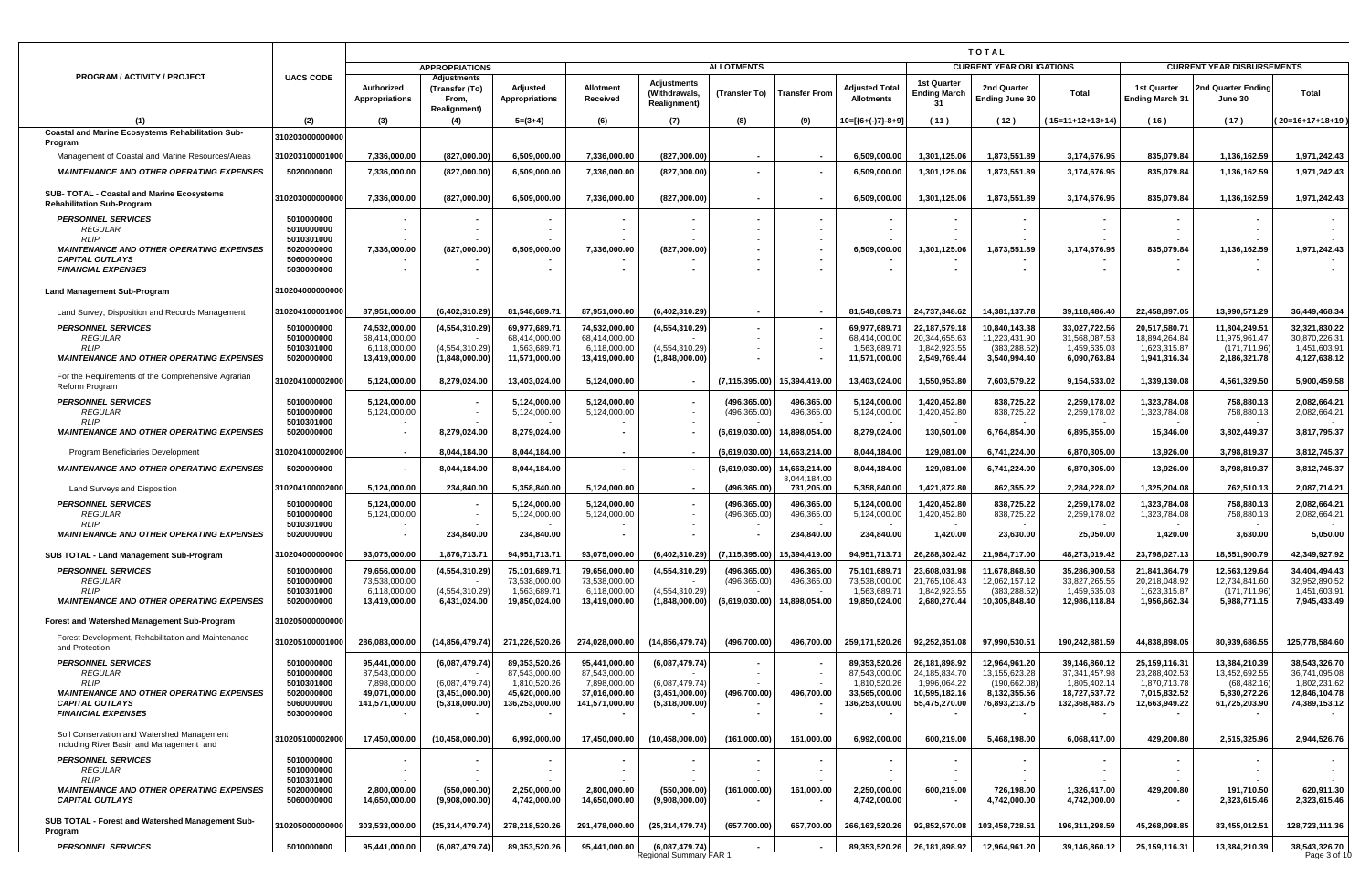|                                                                                        |                          | <b>TOTAL</b>                        |                                                                      |                                   |                                |                                                            |                                |                            |                                            |                                                  |                                      |                                |                                              |                                   |                                |
|----------------------------------------------------------------------------------------|--------------------------|-------------------------------------|----------------------------------------------------------------------|-----------------------------------|--------------------------------|------------------------------------------------------------|--------------------------------|----------------------------|--------------------------------------------|--------------------------------------------------|--------------------------------------|--------------------------------|----------------------------------------------|-----------------------------------|--------------------------------|
|                                                                                        |                          |                                     | <b>APPROPRIATIONS</b>                                                |                                   |                                |                                                            | <b>ALLOTMENTS</b>              |                            |                                            |                                                  | <b>CURRENT YEAR OBLIGATIONS</b>      |                                |                                              | <b>CURRENT YEAR DISBURSEMENTS</b> |                                |
| PROGRAM / ACTIVITY / PROJECT                                                           | <b>UACS CODE</b>         | Authorized<br><b>Appropriations</b> | <b>Adjustments</b><br>(Transfer (To)<br>From.<br><b>Realignment)</b> | Adjusted<br><b>Appropriations</b> | Allotment<br>Received          | <b>Adjustments</b><br>(Withdrawals,<br><b>Realignment)</b> | (Transfer To)                  | <b>Transfer From</b>       | <b>Adjusted Total</b><br><b>Allotments</b> | <b>1st Quarter</b><br><b>Ending March</b><br>-31 | 2nd Quarter<br><b>Ending June 30</b> | Total                          | <b>1st Quarter</b><br><b>Ending March 31</b> | Ind Quarter Ending<br>June 30     | Total                          |
| (1)                                                                                    | (2)                      | (3)                                 | (4)                                                                  | $5=(3+4)$                         | (6)                            | (7)                                                        | (8)                            | (9)                        | $10=[(6+(-)7)-8+9]$                        | (11)                                             | (12)                                 | (15=11+12+13+14)               | (16)                                         | (17)                              | $20=16+17+18+19$               |
| Coastal and Marine Ecosystems Rehabilitation Sub-<br>Program                           | 310203000000000          |                                     |                                                                      |                                   |                                |                                                            |                                |                            |                                            |                                                  |                                      |                                |                                              |                                   |                                |
| Management of Coastal and Marine Resources/Areas                                       | 310203100001000          | 7,336,000.00                        | (827,000.00                                                          | 6,509,000.00                      | 7,336,000.00                   | (827.000.00)                                               |                                |                            | 6,509,000.00                               | 1,301,125.06                                     | 1,873,551.89                         | 3,174,676.95                   | 835,079.84                                   | 1,136,162.59                      | 1,971,242.43                   |
| <b>MAINTENANCE AND OTHER OPERATING EXPENSES</b>                                        | 5020000000               | 7,336,000.00                        | (827,000.00)                                                         | 6,509,000.00                      | 7,336,000.00                   | (827,000.00)                                               |                                |                            | 6,509,000.00                               | 1,301,125.06                                     | 1,873,551.89                         | 3,174,676.95                   | 835,079.84                                   | 1,136,162.59                      | 1,971,242.43                   |
|                                                                                        |                          |                                     |                                                                      |                                   |                                |                                                            |                                |                            |                                            |                                                  |                                      |                                |                                              |                                   |                                |
| SUB- TOTAL - Coastal and Marine Ecosystems<br><b>Rehabilitation Sub-Program</b>        | 310203000000000          | 7,336,000.00                        | (827,000.00)                                                         | 6,509,000.00                      | 7,336,000.00                   | (827,000.00)                                               |                                |                            | 6,509,000.00                               | 1,301,125.06                                     | 1,873,551.89                         | 3,174,676.95                   | 835,079.84                                   | 1,136,162.59                      | 1,971,242.43                   |
| <b>PERSONNEL SERVICES</b><br><b>REGULAR</b>                                            | 5010000000<br>5010000000 |                                     |                                                                      |                                   |                                |                                                            |                                |                            |                                            |                                                  |                                      |                                |                                              |                                   |                                |
| <b>RLIP</b>                                                                            | 5010301000               |                                     |                                                                      |                                   |                                |                                                            |                                |                            |                                            |                                                  |                                      |                                |                                              |                                   |                                |
| <b>MAINTENANCE AND OTHER OPERATING EXPENSES</b><br><b>CAPITAL OUTLAYS</b>              | 5020000000<br>5060000000 | 7,336,000.00                        | (827,000.00)                                                         | 6,509,000.00                      | 7,336,000.00                   | (827,000.00)                                               |                                |                            | 6,509,000.00                               | 1,301,125.06                                     | 1,873,551.89                         | 3,174,676.95                   | 835,079.84                                   | 1,136,162.59                      | 1.971.242.43                   |
| <b>FINANCIAL EXPENSES</b>                                                              | 5030000000               |                                     |                                                                      |                                   |                                |                                                            |                                |                            |                                            |                                                  |                                      |                                |                                              |                                   |                                |
| <b>Land Management Sub-Program</b>                                                     | 310204000000000          |                                     |                                                                      |                                   |                                |                                                            |                                |                            |                                            |                                                  |                                      |                                |                                              |                                   |                                |
| Land Survey, Disposition and Records Management                                        | 310204100001000          | 87,951,000.00                       | (6,402,310.29)                                                       | 81,548,689.71                     | 87,951,000.00                  | (6,402,310.29)                                             |                                |                            | 81,548,689.71                              | 24.737.348.62                                    | 14,381,137.78                        | 39,118,486.40                  | 22,458,897.05                                | 13,990,571.29                     | 36.449.468.34                  |
| <b>PERSONNEL SERVICES</b>                                                              | 5010000000               | 74,532,000.00                       | (4, 554, 310.29)                                                     | 69,977,689.71                     | 74,532,000.00                  | (4, 554, 310.29)                                           |                                |                            | 69,977,689.71                              | 22,187,579.18                                    | 10,840,143.38                        | 33,027,722.56                  | 20,517,580.71                                | 11,804,249.51                     | 32,321,830.22                  |
| <b>REGULAR</b><br><b>RLIP</b>                                                          | 5010000000<br>5010301000 | 68,414,000.00<br>6,118,000.00       | (4,554,310.29                                                        | 68,414,000.00<br>1,563,689.71     | 68,414,000.00<br>6,118,000.00  | (4,554,310.29)                                             |                                |                            | 68,414,000.00<br>1,563,689.71              | 20.344.655.63<br>1,842,923.55                    | 11,223,431.90<br>(383,288.52)        | 31,568,087.53<br>1,459,635.03  | 18,894,264.84<br>1,623,315.87                | 11,975,961.47<br>(171, 711.96)    | 30,870,226.31<br>1,451,603.91  |
| <b>MAINTENANCE AND OTHER OPERATING EXPENSES</b>                                        | 5020000000               | 13,419,000.00                       | (1,848,000.00)                                                       | 11,571,000.00                     | 13,419,000.00                  | (1,848,000.00)                                             |                                |                            | 11,571,000.00                              | 2,549,769.44                                     | 3,540,994.40                         | 6,090,763.84                   | 1,941,316.34                                 | 2,186,321.78                      | 4,127,638.12                   |
| For the Requirements of the Comprehensive Agrarian<br>Reform Program                   | 310204100002000          | 5,124,000.00                        | 8,279,024.00                                                         | 13,403,024.00                     | 5,124,000.00                   |                                                            | (7, 115, 395.00)               | 15,394,419.00              | 13,403,024.00                              | 1,550,953.80                                     | 7,603,579.22                         | 9,154,533.02                   | 1,339,130.08                                 | 4,561,329.50                      | 5,900,459.58                   |
| <b>PERSONNEL SERVICES</b>                                                              | 5010000000               | 5,124,000.00                        |                                                                      | 5,124,000.00                      | 5,124,000.00                   | $\overline{\phantom{a}}$                                   | (496, 365.00)                  | 496,365.00                 | 5,124,000.00                               | 1,420,452.80                                     | 838,725.22                           | 2,259,178.02                   | 1,323,784.08                                 | 758,880.13                        | 2,082,664.21                   |
| <b>REGULAR</b><br><b>RLIP</b>                                                          | 5010000000<br>5010301000 | 5,124,000.00                        |                                                                      | 5,124,000.00                      | 5,124,000.00                   |                                                            | (496, 365.00)                  | 496,365.00                 | 5,124,000.00                               | 1,420,452.80                                     | 838,725.22                           | 2,259,178.02                   | 1,323,784.08                                 | 758,880.13                        | 2,082,664.21                   |
| <b>MAINTENANCE AND OTHER OPERATING EXPENSES</b>                                        | 5020000000               |                                     | 8,279,024.00                                                         | 8,279,024.00                      |                                |                                                            | (6,619,030.00)                 | 14.898.054.00              | 8,279,024.00                               | 130,501.00                                       | 6,764,854.00                         | 6,895,355.00                   | 15,346.00                                    | 3,802,449.37                      | 3,817,795.37                   |
| Program Beneficiaries Development                                                      | 310204100002000          |                                     | 8,044,184.00                                                         | 8,044,184.00                      |                                |                                                            | (6,619,030.00)                 | 14,663,214.00              | 8,044,184.00                               | 129,081.00                                       | 6,741,224.00                         | 6,870,305.00                   | 13,926.00                                    | 3,798,819.37                      | 3,812,745.37                   |
| <b>MAINTENANCE AND OTHER OPERATING EXPENSES</b>                                        | 5020000000               |                                     | 8,044,184.00                                                         | 8,044,184.00                      |                                | ٠.                                                         | (6,619,030.00)                 | 14,663,214.00              | 8,044,184.00                               | 129,081.00                                       | 6,741,224.00                         | 6,870,305.00                   | 13,926.00                                    | 3,798,819.37                      | 3,812,745.37                   |
| Land Surveys and Disposition                                                           | 310204100002000          | 5,124,000.00                        | 234,840.00                                                           | 5,358,840.00                      | 5,124,000.00                   | $\overline{\phantom{a}}$                                   | (496, 365.00)                  | 8,044,184.00<br>731,205.00 | 5,358,840.00                               | 1,421,872.80                                     | 862,355.22                           | 2,284,228.02                   | 1,325,204.08                                 | 762,510.13                        | 2,087,714.21                   |
| <b>PERSONNEL SERVICES</b>                                                              | 5010000000               | 5,124,000.00                        |                                                                      | 5,124,000.00                      | 5,124,000.00                   | $\overline{\phantom{a}}$                                   | (496, 365.00)                  | 496,365.00                 | 5,124,000.00                               | 1,420,452.80                                     | 838,725.22                           | 2,259,178.02                   | 1,323,784.08                                 | 758,880.13                        | 2,082,664.21                   |
| <b>REGULAR</b><br><b>RLIP</b>                                                          | 5010000000<br>5010301000 | 5,124,000.00                        |                                                                      | 5,124,000.00                      | 5,124,000.00                   | $\sim$                                                     | (496, 365.00)                  | 496,365.00                 | 5,124,000.00                               | 1,420,452.80                                     | 838,725.22                           | 2,259,178.02                   | 1,323,784.08                                 | 758,880.13                        | 2,082,664.21                   |
| <b>MAINTENANCE AND OTHER OPERATING EXPENSES</b>                                        | 5020000000               |                                     | 234,840.00                                                           | 234,840.00                        |                                |                                                            |                                | 234,840.00                 | 234,840.00                                 | 1,420.00                                         | 23,630.00                            | 25,050.00                      | 1,420.00                                     | 3,630.00                          | 5,050.00                       |
| SUB TOTAL - Land Management Sub-Program                                                | 310204000000000          | 93,075,000.00                       | 1,876,713.71                                                         | 94,951,713.71                     | 93,075,000.00                  | (6, 402, 310.29)                                           | (7, 115, 395.00)               | 15,394,419.00              | 94,951,713.71                              | 26,288,302.42                                    | 21,984,717.00                        | 48,273,019.42                  | 23,798,027.13                                | 18,551,900.79                     | 42,349,927.92                  |
| <b>PERSONNEL SERVICES</b><br><b>REGULAR</b>                                            | 5010000000<br>5010000000 | 79,656,000.00<br>73,538,000.00      | (4,554,310.29)                                                       | 75,101,689.71<br>73,538,000.00    | 79,656,000.00<br>73,538,000.00 | (4, 554, 310.29)                                           | (496, 365.00)<br>(496, 365.00) | 496,365.00<br>496,365.00   | 75,101,689.71<br>73,538,000.00             | 23,608,031.98<br>21,765,108.43                   | 11,678,868.60<br>12,062,157.12       | 35,286,900.58<br>33,827,265.55 | 21,841,364.79<br>20,218,048.92               | 12,563,129.64<br>12,734,841.60    | 34,404,494.43<br>32,952,890.52 |
| <b>RLIP</b>                                                                            | 5010301000               | 6,118,000.00                        | (4,554,310.29                                                        | 1,563,689.71                      | 6,118,000.00                   | (4,554,310.29)                                             |                                |                            | 1,563,689.71                               | 1,842,923.55                                     | (383,288.52                          | 1,459,635.03                   | 1,623,315.87                                 | (171, 711.96)                     | 1,451,603.91                   |
| <b>MAINTENANCE AND OTHER OPERATING EXPENSES</b>                                        | 5020000000               | 13,419,000.00                       | 6,431,024.00                                                         | 19,850,024.00                     | 13,419,000.00                  | (1,848,000.00)                                             | (6,619,030.00)                 | 14,898,054.00              | 19,850,024.00                              | 2,680,270.44                                     | 10,305,848.40                        | 12,986,118.84                  | 1,956,662.34                                 | 5,988,771.15                      | 7,945,433.49                   |
| <b>Forest and Watershed Management Sub-Program</b>                                     | 310205000000000          |                                     |                                                                      |                                   |                                |                                                            |                                |                            |                                            |                                                  |                                      |                                |                                              |                                   |                                |
| Forest Development, Rehabilitation and Maintenance<br>and Protection                   | 310205100001000          | 286,083,000.00                      | (14, 856, 479.74)                                                    | 271,226,520.26                    | 274,028,000.00                 | (14, 856, 479.74)                                          | (496,700.00)                   | 496,700.00                 | 259,171,520.26                             | 92,252,351.08                                    | 97,990,530.51                        | 190,242,881.59                 | 44,838,898.05                                | 80,939,686.55                     | 125,778,584.60                 |
| <b>PERSONNEL SERVICES</b>                                                              | 5010000000               | 95,441,000.00                       | (6,087,479.74)                                                       | 89,353,520.26                     | 95,441,000.00                  | (6,087,479.74)                                             |                                |                            | 89,353,520.26                              | 26, 181, 898. 92                                 | 12,964,961.20                        | 39,146,860.12                  | 25,159,116.31                                | 13,384,210.39                     | 38,543,326.70                  |
| REGULAR<br><b>RLIP</b>                                                                 | 5010000000<br>5010301000 | 87,543,000.00<br>7,898,000.00       | (6,087,479.74)                                                       | 87,543,000.00<br>1,810,520.26     | 87,543,000.00<br>7,898,000.00  | (6,087,479.74)                                             |                                |                            | 87,543,000.00<br>1,810,520.26              | 24,185,834.70<br>1,996,064.22                    | 13, 155, 623. 28<br>(190, 662.08)    | 37.341.457.98<br>1,805,402.14  | 23,288,402.53<br>1,870,713.78                | 13,452,692.55<br>(68, 482.16)     | 36,741,095.08<br>1,802,231.62  |
| <b>MAINTENANCE AND OTHER OPERATING EXPENSES</b>                                        | 5020000000               | 49,071,000.00                       | (3,451,000.00)                                                       | 45.620.000.00                     | 37,016,000.00                  | (3.451.000.00)                                             | (496,700.00)                   | 496,700.00                 | 33,565,000.00                              | 10,595,182.16                                    | 8,132,355.56                         | 18,727,537.72                  | 7.015.832.52                                 | 5,830,272.26                      | 12,846,104.78                  |
| <i><b>CAPITAL OUTLAYS</b></i><br><b>FINANCIAL EXPENSES</b>                             | 5060000000<br>5030000000 | 141,571,000.00                      | (5,318,000.00)                                                       | 136,253,000.00                    | 141,571,000.00                 | (5,318,000.00)                                             |                                |                            | 136,253,000.00                             | 55,475,270.00                                    | 76,893,213.75                        | 132,368,483.75                 | 12,663,949.22                                | 61,725,203.90                     | 74,389,153.12                  |
| Soil Conservation and Watershed Management<br>including River Basin and Management and | 310205100002000          | 17,450,000.00                       | (10, 458, 000.00)                                                    | 6,992,000.00                      | 17,450,000.00                  | (10, 458, 000.00)                                          | (161,000.00)                   | 161,000.00                 | 6,992,000.00                               | 600,219.00                                       | 5,468,198.00                         | 6,068,417.00                   | 429,200.80                                   | 2,515,325.96                      | 2,944,526.76                   |
| <b>PERSONNEL SERVICES</b>                                                              | 5010000000               |                                     |                                                                      |                                   |                                |                                                            |                                |                            |                                            |                                                  |                                      |                                |                                              |                                   |                                |
| REGULAR<br><b>RLIP</b>                                                                 | 5010000000<br>5010301000 |                                     |                                                                      |                                   |                                |                                                            |                                |                            |                                            |                                                  |                                      |                                |                                              |                                   |                                |
| <b>MAINTENANCE AND OTHER OPERATING EXPENSES</b>                                        | 5020000000               | 2,800,000.00                        | (550,000.00)                                                         | 2,250,000.00                      | 2,800,000.00                   | (550,000.00)                                               | (161,000.00)                   | 161,000.00                 | 2,250,000.00                               | 600,219.00                                       | 726,198.00                           | 1,326,417.00                   | 429,200.80                                   | 191,710.50                        | 620,911.30                     |
| <b>CAPITAL OUTLAYS</b>                                                                 | 5060000000               | 14,650,000.00                       | (9,908,000.00)                                                       | 4,742,000.00                      | 14,650,000.00                  | (9,908,000.00)                                             |                                |                            | 4,742,000.00                               |                                                  | 4,742,000.00                         | 4,742,000.00                   |                                              | 2,323,615.46                      | 2,323,615.46                   |
| SUB TOTAL - Forest and Watershed Management Sub-<br>Program                            | 310205000000000          | 303,533,000.00                      | (25, 314, 479.74)                                                    | 278,218,520.26                    | 291,478,000.00                 | (25, 314, 479.74)                                          | (657,700.00)                   | 657,700.00                 | 266, 163, 520. 26                          | 92,852,570.08                                    | 103,458,728.51                       | 196,311,298.59                 | 45,268,098.85                                | 83,455,012.51                     | 128.723.111.36                 |
| <b>PERSONNEL SERVICES</b>                                                              | 5010000000               | 95,441,000.00                       | (6,087,479.74)                                                       | 89,353,520.26                     | 95,441,000.00                  | (6,087,479.74)<br>Regional Summary FAR 1                   |                                |                            | 89,353,520.26                              | 26,181,898.92                                    | 12,964,961.20                        | 39,146,860.12                  | 25,159,116.31                                | 13,384,210.39                     | 38,543,326.70<br>Page 3 of 10  |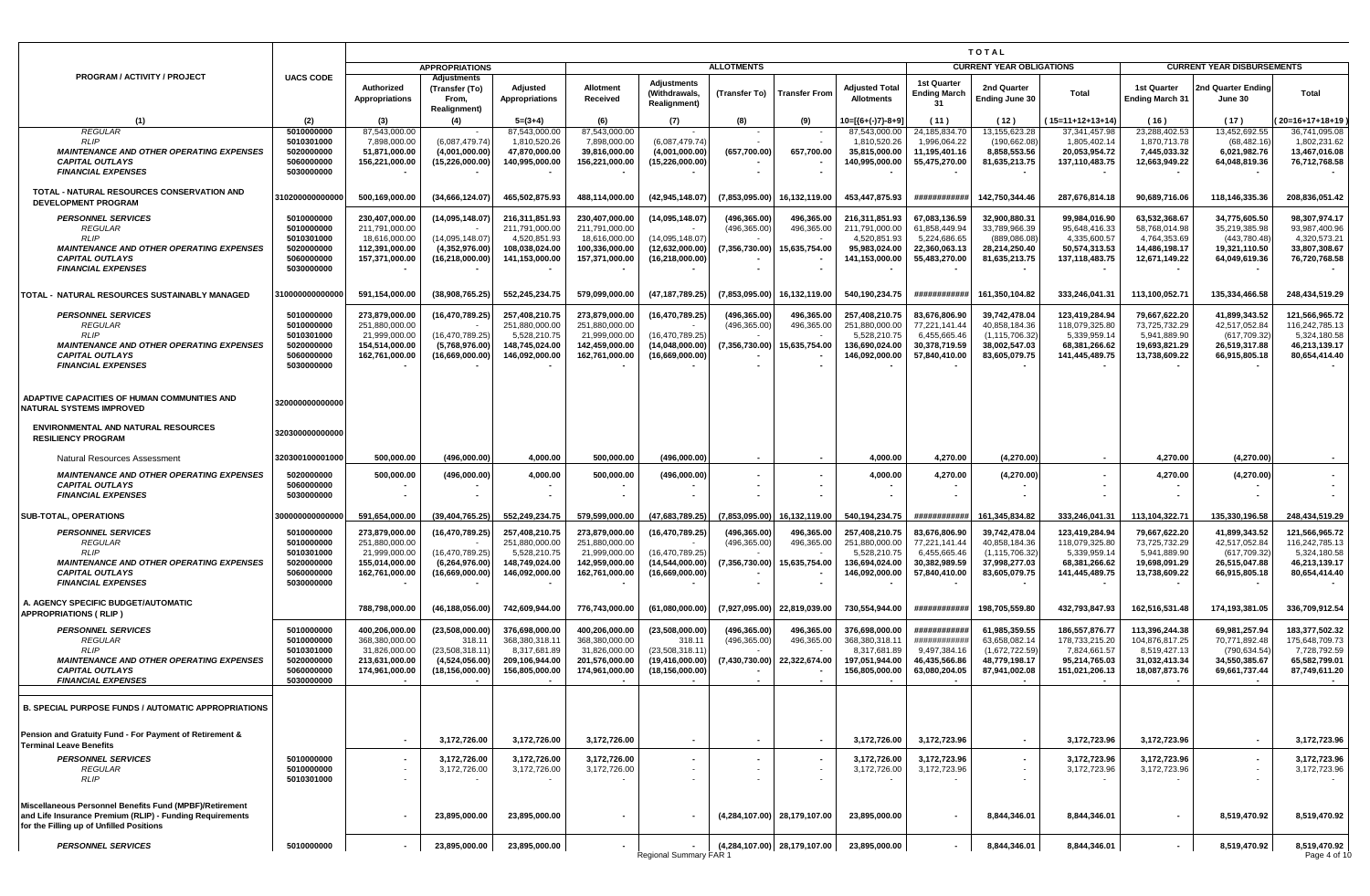|                                                                                                                                                                      |                                                                                  |                                                                                       | <b>TOTAL</b>                                                                       |                                                                                      |                                                                                       |                                                                                     |                                                   |                                           |                                                                                      |                                                                                  |                                                                                      |                                                                                        |                                                                                    |                                                                                 |                                                                                    |
|----------------------------------------------------------------------------------------------------------------------------------------------------------------------|----------------------------------------------------------------------------------|---------------------------------------------------------------------------------------|------------------------------------------------------------------------------------|--------------------------------------------------------------------------------------|---------------------------------------------------------------------------------------|-------------------------------------------------------------------------------------|---------------------------------------------------|-------------------------------------------|--------------------------------------------------------------------------------------|----------------------------------------------------------------------------------|--------------------------------------------------------------------------------------|----------------------------------------------------------------------------------------|------------------------------------------------------------------------------------|---------------------------------------------------------------------------------|------------------------------------------------------------------------------------|
|                                                                                                                                                                      |                                                                                  |                                                                                       | <b>APPROPRIATIONS</b>                                                              |                                                                                      |                                                                                       |                                                                                     | <b>ALLOTMENTS</b>                                 |                                           |                                                                                      |                                                                                  | <b>CURRENT YEAR OBLIGATIONS</b>                                                      |                                                                                        |                                                                                    | <b>CURRENT YEAR DISBURSEMENTS</b>                                               |                                                                                    |
| <b>PROGRAM / ACTIVITY / PROJECT</b>                                                                                                                                  | <b>UACS CODE</b>                                                                 | Authorized<br><b>Appropriations</b>                                                   | <b>Adjustments</b><br>(Transfer (To)<br>From,<br><b>Realignment)</b>               | Adjusted<br>Appropriations                                                           | Allotment<br>Received                                                                 | Adjustments<br>(Withdrawals,<br><b>Realignment)</b>                                 | (Transfer To)                                     | <b>Transfer From</b>                      | <b>Adjusted Total</b><br><b>Allotments</b>                                           | <b>1st Quarter</b><br><b>Ending March</b><br>-31                                 | 2nd Quarter<br>Ending June 30                                                        | Total                                                                                  | <b>1st Quarter</b><br><b>Ending March 31</b>                                       | Ind Quarter Ending<br>June 30                                                   | Total                                                                              |
| (1)                                                                                                                                                                  | (2)                                                                              | (3)                                                                                   | (4)                                                                                | $5=(3+4)$                                                                            | (6)                                                                                   | (7)                                                                                 | (8)                                               | (9)                                       | 10=[{6+(-)7}-8+9                                                                     | (11)                                                                             | (12)                                                                                 | $15=11+12+13+14$                                                                       | (16)                                                                               | (17)                                                                            | 20=16+17+18+19                                                                     |
| <b>REGULAR</b><br><b>RLIP</b><br><b>MAINTENANCE AND OTHER OPERATING EXPENSES</b><br><b>CAPITAL OUTLAYS</b><br><b>FINANCIAL EXPENSES</b>                              | 5010000000<br>5010301000<br>5020000000<br>5060000000<br>5030000000               | 87,543,000.00<br>7,898,000.00<br>51,871,000.00<br>156,221,000.00                      | (6,087,479.74)<br>(4,001,000.00)<br>(15, 226, 000.00)                              | 87,543,000.00<br>1,810,520.26<br>47,870,000.00<br>140,995,000.00                     | 87,543,000.00<br>7,898,000.00<br>39,816,000.00<br>156,221,000.00                      | (6,087,479.74)<br>(4,001,000.00)<br>(15, 226, 000.00)                               | (657,700.00)                                      | 657,700.00                                | 87,543,000.00<br>1,810,520.26<br>35,815,000.00<br>140,995,000.00                     | 24, 185, 834. 70<br>1,996,064.22<br>11,195,401.16<br>55,475,270.00               | 13, 155, 623. 28<br>(190, 662.08)<br>8,858,553.56<br>81,635,213.75                   | 37, 341, 457.98<br>1,805,402.1<br>20,053,954.72<br>137,110,483.75                      | 23,288,402.53<br>1,870,713.78<br>7,445,033.32<br>12,663,949.22                     | 13,452,692.55<br>(68, 482.16)<br>6,021,982.76<br>64,048,819.36                  | 36,741,095.08<br>1,802,231.62<br>13,467,016.08<br>76,712,768.58                    |
| TOTAL - NATURAL RESOURCES CONSERVATION AND<br><b>DEVELOPMENT PROGRAM</b>                                                                                             | 1020000000000                                                                    | 500,169,000.00                                                                        | (34,666,124.07)                                                                    | 465,502,875.93                                                                       | 488.114.000.00                                                                        | (42,945,148.07                                                                      | (7,853,095.00)                                    | 16,132,119.00                             | 453.447.875.93                                                                       | ############                                                                     | 142,750,344.46                                                                       | 287,676,814.1                                                                          | 90,689,716.06                                                                      | 118.146.335.36                                                                  | 208,836,051.42                                                                     |
| <b>PERSONNEL SERVICES</b><br><b>REGULAR</b><br><b>RLIP</b><br><b>MAINTENANCE AND OTHER OPERATING EXPENSES</b><br><b>CAPITAL OUTLAYS</b><br><b>FINANCIAL EXPENSES</b> | 5010000000<br>5010000000<br>5010301000<br>5020000000<br>5060000000<br>5030000000 | 230,407,000.00<br>211,791,000.00<br>18,616,000.00<br>112,391,000.00<br>157,371,000.00 | (14,095,148.07)<br>(14,095,148.07<br>(4,352,976.00)<br>(16, 218, 000.00)           | 216,311,851.93<br>211,791,000.00<br>4,520,851.93<br>108,038,024.00<br>141,153,000.00 | 230,407,000.00<br>211,791,000.00<br>18,616,000.00<br>100,336,000.00<br>157,371,000.00 | (14,095,148.07)<br>(14,095,148.07)<br>(12,632,000.00)<br>(16, 218, 000.00)          | (496, 365.00)<br>(496,365.00<br>(7,356,730.00)    | 496,365.00<br>496,365.00<br>15,635,754.00 | 216,311,851.93<br>211,791,000.00<br>4,520,851.93<br>95,983,024.00<br>141,153,000.00  | 67,083,136.59<br>61,858,449.94<br>5,224,686.65<br>22,360,063.13<br>55,483,270.00 | 32.900.880.31<br>33,789,966.39<br>(889, 086.08)<br>28,214,250.40<br>81,635,213.75    | 99,984,016.90<br>95,648,416.33<br>4,335,600.57<br>50,574,313.53<br>137, 118, 483. 75   | 63,532,368.67<br>58,768,014.98<br>4,764,353.69<br>14,486,198.17<br>12,671,149.22   | 34,775,605.50<br>35,219,385.98<br>(443,780.48<br>19,321,110.50<br>64,049,619.36 | 98,307,974.17<br>93,987,400.96<br>4,320,573.21<br>33,807,308.67<br>76,720,768.58   |
| TOTAL - NATURAL RESOURCES SUSTAINABLY MANAGED                                                                                                                        | 810000000000000                                                                  | 591,154,000.00                                                                        | (38,908,765.25)                                                                    | 552,245,234.75                                                                       | 579,099,000.00                                                                        | (47, 187, 789. 25)                                                                  | (7,853,095.00)                                    | 16,132,119.00                             | 540,190,234.75                                                                       | ############                                                                     | 161,350,104.82                                                                       | 333,246,041.31                                                                         | 113,100,052.71                                                                     | 135,334,466.58                                                                  | 248,434,519.29                                                                     |
| <b>PERSONNEL SERVICES</b><br><i>REGULAR</i><br><b>RLIP</b><br><b>MAINTENANCE AND OTHER OPERATING EXPENSES</b><br><b>CAPITAL OUTLAYS</b><br><b>FINANCIAL EXPENSES</b> | 5010000000<br>5010000000<br>5010301000<br>5020000000<br>5060000000<br>5030000000 | 273,879,000.00<br>251,880,000.00<br>21,999,000.00<br>154,514,000.00<br>162,761,000.00 | (16, 470, 789.25)<br>(16, 470, 789.25)<br>(5,768,976.00)<br>(16, 669, 000.00)      | 257,408,210.75<br>251,880,000.00<br>5,528,210.75<br>148,745,024.00<br>146,092,000.00 | 273,879,000.00<br>251,880,000.00<br>21,999,000.00<br>142,459,000.00<br>162,761,000.00 | (16, 470, 789.25)<br>(16,470,789.25<br>(14,048,000.00)<br>(16, 669, 000.00)         | (496,365.00)<br>(496,365.00)<br>(7, 356, 730.00)  | 496,365.00<br>496,365.00<br>15,635,754.00 | 257,408,210.75<br>251,880,000.00<br>5,528,210.75<br>136.690.024.00<br>146,092,000.00 | 83,676,806.90<br>77,221,141.44<br>6,455,665.46<br>30,378,719.59<br>57,840,410.00 | 39,742,478.04<br>40,858,184.36<br>(1, 115, 706.32)<br>38,002,547.03<br>83,605,079.75 | 123,419,284.94<br>118,079,325.80<br>5,339,959.14<br>68,381,266.62<br>141,445,489.75    | 79,667,622.20<br>73,725,732.29<br>5,941,889.90<br>19,693,821.29<br>13,738,609.22   | 41,899,343.52<br>42,517,052.84<br>(617,709.32<br>26,519,317.88<br>66,915,805.18 | 121,566,965.72<br>116,242,785.13<br>5,324,180.58<br>46,213,139.17<br>80,654,414.40 |
| ADAPTIVE CAPACITIES OF HUMAN COMMUNITIES AND<br><b>NATURAL SYSTEMS IMPROVED</b>                                                                                      | 320000000000000                                                                  |                                                                                       |                                                                                    |                                                                                      |                                                                                       |                                                                                     |                                                   |                                           |                                                                                      |                                                                                  |                                                                                      |                                                                                        |                                                                                    |                                                                                 |                                                                                    |
| <b>ENVIRONMENTAL AND NATURAL RESOURCES</b><br><b>RESILIENCY PROGRAM</b>                                                                                              | 320300000000000                                                                  |                                                                                       |                                                                                    |                                                                                      |                                                                                       |                                                                                     |                                                   |                                           |                                                                                      |                                                                                  |                                                                                      |                                                                                        |                                                                                    |                                                                                 |                                                                                    |
| Natural Resources Assessment                                                                                                                                         | 320300100001000                                                                  | 500,000.00                                                                            | (496,000.00)                                                                       | 4,000.00                                                                             | 500,000.00                                                                            | (496,000.00)                                                                        |                                                   |                                           | 4,000.00                                                                             | 4,270.00                                                                         | (4,270.00)                                                                           |                                                                                        | 4,270.00                                                                           | (4, 270.00)                                                                     |                                                                                    |
| <b>MAINTENANCE AND OTHER OPERATING EXPENSES</b><br><b>CAPITAL OUTLAYS</b><br><b>FINANCIAL EXPENSES</b>                                                               | 5020000000<br>5060000000<br>5030000000                                           | 500,000.00                                                                            | (496,000.00)                                                                       | 4,000.00                                                                             | 500,000.00                                                                            | (496,000.00)                                                                        |                                                   |                                           | 4,000.00                                                                             | 4,270.00                                                                         | (4,270.00)                                                                           |                                                                                        | 4,270.00                                                                           | (4,270.00)                                                                      |                                                                                    |
| SUB-TOTAL, OPERATIONS                                                                                                                                                | 0000000000000                                                                    | 591,654,000.00                                                                        | (39, 404, 765.25)                                                                  | 552,249,234.75                                                                       | 579,599,000.00                                                                        | (47,683,789.25)                                                                     | (7,853,095.00)                                    | 16,132,119.00                             | 540,194,234.75                                                                       | ############                                                                     | 161,345,834.82                                                                       | 333,246,041.31                                                                         | 113,104,322.71                                                                     | 135,330,196.58                                                                  | 248,434,519.29                                                                     |
| <b>PERSONNEL SERVICES</b><br>REGULAR<br><b>RLIP</b><br><b>MAINTENANCE AND OTHER OPERATING EXPENSES</b><br><b>CAPITAL OUTLAYS</b><br><b>FINANCIAL EXPENSES</b>        | 5010000000<br>5010000000<br>5010301000<br>5020000000<br>5060000000<br>5030000000 | 273,879,000.00<br>251,880,000.00<br>21,999,000.00<br>155,014,000.00<br>162,761,000.00 | (16, 470, 789.25)<br>(16, 470, 789.25)<br>(6, 264, 976.00)<br>(16, 669, 000.00)    | 257,408,210.75<br>251,880,000.00<br>5,528,210.75<br>148,749,024.00<br>146,092,000.00 | 273,879,000.00<br>251,880,000.00<br>21,999,000.00<br>142,959,000.00<br>162,761,000.00 | (16,470,789.25)<br>(16,470,789.25<br>(14,544,000.00)<br>(16, 669, 000.00)           | (496,365.00)<br>(496,365.00)<br>(7, 356, 730.00)  | 496,365.00<br>496,365.00<br>15,635,754.00 | 257,408,210.75<br>251,880,000.00<br>5,528,210.75<br>136,694,024.00<br>146,092,000.00 | 83,676,806.90<br>77,221,141.44<br>6,455,665.46<br>30,382,989.59<br>57,840,410.00 | 39,742,478.04<br>40,858,184.36<br>(1, 115, 706.32)<br>37,998,277.03<br>83,605,079.75 | 123,419,284.94<br>118,079,325.80<br>5,339,959.14<br>68,381,266.62<br>141,445,489.75    | 79,667,622.20<br>73,725,732.29<br>5,941,889.90<br>19,698,091.29<br>13,738,609.22   | 41,899,343.52<br>42,517,052.84<br>(617,709.32<br>26,515,047.88<br>66,915,805.18 | 121,566,965.72<br>116,242,785.13<br>5,324,180.58<br>46,213,139.17<br>80,654,414.40 |
| A. AGENCY SPECIFIC BUDGET/AUTOMATIC<br><b>APPROPRIATIONS (RLIP)</b>                                                                                                  |                                                                                  | 788,798,000.00                                                                        | (46, 188, 056.00)                                                                  | 742,609,944.00                                                                       | 776,743,000.00                                                                        | (61,080,000.00)                                                                     | (7,927,095.00)                                    | 22,819,039.00                             | 730,554,944.00                                                                       | ############                                                                     | 198,705,559.80                                                                       | 432,793,847.93                                                                         | 162,516,531.48                                                                     | 174,193,381.05                                                                  | 336,709,912.54                                                                     |
| <b>PERSONNEL SERVICES</b><br>REGULAR<br><b>RLIP</b><br><b>MAINTENANCE AND OTHER OPERATING EXPENSES</b><br><b>CAPITAL OUTLAYS</b><br><b>FINANCIAL EXPENSES</b>        | 5010000000<br>5010000000<br>5010301000<br>5020000000<br>5060000000<br>5030000000 | 400,206,000.00<br>368,380,000.00<br>31,826,000.00<br>213,631,000.00<br>174,961,000.00 | (23,508,000.00)<br>318.11<br>(23,508,318.11<br>(4,524,056.00)<br>(18, 156, 000.00) | 376,698,000.00<br>368,380,318.11<br>8,317,681.89<br>209,106,944.00<br>156,805,000.00 | 400,206,000.00<br>368,380,000.00<br>31,826,000.00<br>201,576,000.00<br>174,961,000.00 | (23,508,000.00)<br>318.11<br>(23,508,318.1)<br>(19,416,000.00)<br>(18, 156, 000.00) | (496, 365.00)<br>(496,365.00)<br>(7, 430, 730.00) | 496,365.00<br>496,365.00<br>22,322,674.00 | 376,698,000.00<br>368,380,318.11<br>8,317,681.89<br>197,051,944.00<br>156,805,000.00 | ############<br>############<br>9,497,384.16<br>46,435,566.86<br>63,080,204.05   | 61,985,359.55<br>63.658.082.14<br>(1,672,722.59)<br>48,779,198.17<br>87,941,002.08   | 186, 557, 876. 77<br>178.733.215.20<br>7,824,661.57<br>95,214,765.03<br>151,021,206.13 | 113,396,244.38<br>104.876.817.25<br>8,519,427.13<br>31,032,413.34<br>18,087,873.76 | 69,981,257.94<br>70,771,892.48<br>(790,634.54<br>34,550,385.67<br>69,661,737.44 | 183,377,502.32<br>175,648,709.73<br>7,728,792.59<br>65,582,799.01<br>87,749,611.20 |
| B. SPECIAL PURPOSE FUNDS / AUTOMATIC APPROPRIATIONS                                                                                                                  |                                                                                  |                                                                                       |                                                                                    |                                                                                      |                                                                                       |                                                                                     |                                                   |                                           |                                                                                      |                                                                                  |                                                                                      |                                                                                        |                                                                                    |                                                                                 |                                                                                    |
| Pension and Gratuity Fund - For Payment of Retirement &<br><b>Terminal Leave Benefits</b>                                                                            |                                                                                  | $\sim$                                                                                | 3,172,726.00                                                                       | 3,172,726.00                                                                         | 3,172,726.00                                                                          | $\sim$                                                                              | $\sim$                                            | $\sim$                                    | 3,172,726.00                                                                         | 3,172,723.96                                                                     | $\sim$                                                                               | 3,172,723.96                                                                           | 3,172,723.96                                                                       | $\sim$                                                                          | 3,172,723.96                                                                       |
| <b>PERSONNEL SERVICES</b><br><b>REGULAR</b><br><b>RLIP</b>                                                                                                           | 5010000000<br>5010000000<br>5010301000                                           |                                                                                       | 3,172,726.00<br>3,172,726.00                                                       | 3,172,726.00<br>3,172,726.00                                                         | 3,172,726.00<br>3,172,726.00                                                          |                                                                                     |                                                   |                                           | 3,172,726.00<br>3,172,726.00                                                         | 3,172,723.96<br>3,172,723.96                                                     | $\blacksquare$<br>$\sim$<br>$\sim$                                                   | 3,172,723.96<br>3,172,723.96                                                           | 3,172,723.96<br>3,172,723.96                                                       |                                                                                 | 3,172,723.96<br>3,172,723.96                                                       |
| Miscellaneous Personnel Benefits Fund (MPBF)/Retirement<br>and Life Insurance Premium (RLIP) - Funding Requirements<br>for the Filling up of Unfilled Positions      |                                                                                  |                                                                                       | 23,895,000.00                                                                      | 23,895,000.00                                                                        |                                                                                       |                                                                                     |                                                   | (4,284,107.00) 28,179,107.00              | 23,895,000.00                                                                        |                                                                                  | 8,844,346.01                                                                         | 8,844,346.01                                                                           |                                                                                    | 8,519,470.92                                                                    | 8,519,470.92                                                                       |
| <b>PERSONNEL SERVICES</b>                                                                                                                                            | 5010000000                                                                       |                                                                                       | 23,895,000.00                                                                      | 23,895,000.00                                                                        |                                                                                       | Regional Summary FAR 1                                                              |                                                   | $(4,284,107.00)$ 28,179,107.00            | 23,895,000.00                                                                        |                                                                                  | 8,844,346.01                                                                         | 8,844,346.01                                                                           |                                                                                    | 8,519,470.92                                                                    | 8,519,470.92<br>Page 4 of 10                                                       |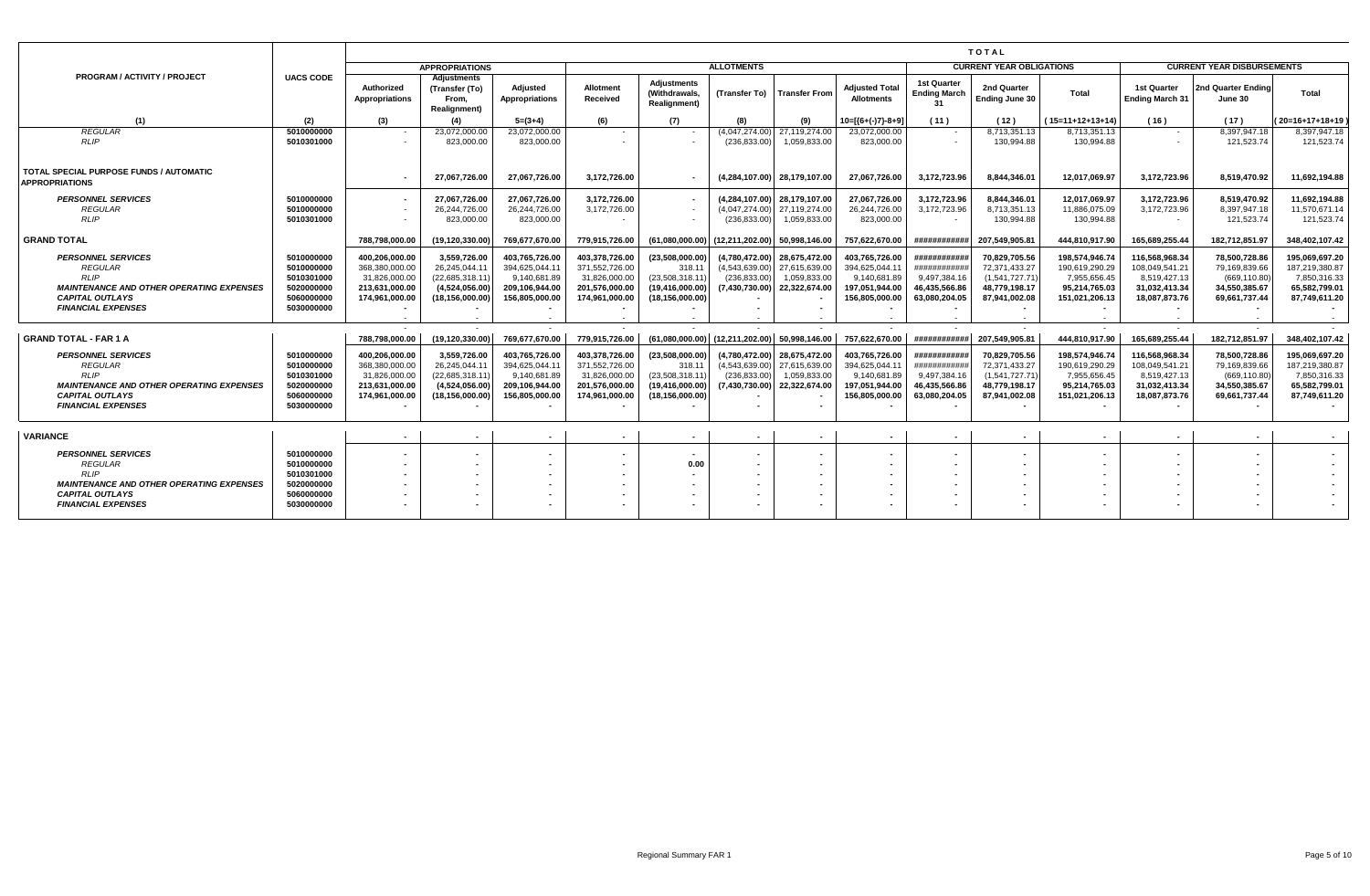|                                                                                                                                                                |                                                                                  | <b>TOTAL</b>                                                                          |                                                                                      |                                                                                      |                                                                                       |                                                                                |                                                                   |                                                                                |                                                                                      |                                                                                |                                                                                   |                                                                                     |                                                                                    |                                                                                  |                                                                                    |
|----------------------------------------------------------------------------------------------------------------------------------------------------------------|----------------------------------------------------------------------------------|---------------------------------------------------------------------------------------|--------------------------------------------------------------------------------------|--------------------------------------------------------------------------------------|---------------------------------------------------------------------------------------|--------------------------------------------------------------------------------|-------------------------------------------------------------------|--------------------------------------------------------------------------------|--------------------------------------------------------------------------------------|--------------------------------------------------------------------------------|-----------------------------------------------------------------------------------|-------------------------------------------------------------------------------------|------------------------------------------------------------------------------------|----------------------------------------------------------------------------------|------------------------------------------------------------------------------------|
|                                                                                                                                                                |                                                                                  |                                                                                       | <b>APPROPRIATIONS</b>                                                                |                                                                                      |                                                                                       |                                                                                | <b>ALLOTMENTS</b>                                                 |                                                                                |                                                                                      |                                                                                | <b>CURRENT YEAR OBLIGATIONS</b>                                                   |                                                                                     |                                                                                    | <b>CURRENT YEAR DISBURSEMENTS</b>                                                |                                                                                    |
| <b>PROGRAM / ACTIVITY / PROJECT</b>                                                                                                                            | <b>UACS CODE</b>                                                                 | Authorized<br>Appropriations                                                          | <b>Adiustments</b><br>(Transfer (To)<br>From.<br><b>Realignment</b> )                | Adjusted<br><b>Appropriations</b>                                                    | <b>Allotment</b><br>Received                                                          | <b>Adjustments</b><br>(Withdrawals.<br><b>Realignment</b> )                    | (Transfer To)                                                     | <b>Transfer From</b>                                                           | <b>Adiusted Total</b><br><b>Allotments</b>                                           | 1st Quarter<br><b>Ending March</b><br>-31                                      | 2nd Quarter<br>Ending June 30                                                     | Total                                                                               | 1st Quarter<br><b>Ending March 31</b>                                              | 2nd Quarter Ending<br>June 30                                                    | Total                                                                              |
| (1)                                                                                                                                                            | (2)                                                                              | (3)                                                                                   | (4)                                                                                  | $5=(3+4)$                                                                            | (6)                                                                                   | (7)                                                                            | (8)                                                               | (9)                                                                            | $10 = \frac{6+(-7)}{2} - 8 + 9$                                                      | (11)                                                                           | (12)                                                                              | $15=11+12+13+14$                                                                    | (16)                                                                               | (17)                                                                             | $20=16+17+18+19$                                                                   |
| <b>REGULAR</b><br>RIP                                                                                                                                          | 5010000000<br>5010301000                                                         | ٠.                                                                                    | 23,072,000.00<br>823,000.00                                                          | 23,072,000.00<br>823,000.00                                                          |                                                                                       |                                                                                | (4,047,274.00)<br>(236, 833.00)                                   | 27,119,274.00<br>1,059,833.00                                                  | 23,072,000.00<br>823,000.00                                                          | $\sim$<br>$\sim$                                                               | 8,713,351.13<br>130,994.88                                                        | 8,713,351.13<br>130,994.88                                                          |                                                                                    | 8,397,947.18<br>121,523.74                                                       | 8,397,947.18<br>121,523.74                                                         |
| <b>TOTAL SPECIAL PURPOSE FUNDS / AUTOMATIC</b><br><b>APPROPRIATIONS</b>                                                                                        |                                                                                  | $\overline{\phantom{a}}$                                                              | 27.067.726.00                                                                        | 27.067.726.00                                                                        | 3.172.726.00                                                                          |                                                                                |                                                                   | (4.284.107.00) 28.179.107.00                                                   | 27.067.726.00                                                                        | 3.172.723.96                                                                   | 8.844.346.01                                                                      | 12.017.069.97                                                                       | 3.172.723.96                                                                       | 8.519.470.92                                                                     | 11.692.194.88                                                                      |
| <b>PERSONNEL SERVICES</b><br>REGULAR<br>RIP                                                                                                                    | 5010000000<br>5010000000<br>5010301000                                           | $\sim$<br>$\sim$                                                                      | 27.067.726.00<br>26,244,726.00<br>823.000.00                                         | 27.067.726.00<br>26,244,726.00<br>823,000.00                                         | 3,172,726.00<br>3,172,726.00                                                          |                                                                                | (4.047.274.00)<br>(236.833.00)                                    | (4.284.107.00) 28.179.107.00<br>27,119,274.00<br>1,059,833.00                  | 27,067,726.00<br>26,244,726.00<br>823.000.00                                         | 3,172,723.96<br>3,172,723.96<br>$\sim$                                         | 8.844.346.01<br>8,713,351.13<br>130.994.88                                        | 12.017.069.97<br>11,886,075.09<br>130,994.88                                        | 3,172,723.96<br>3,172,723.96                                                       | 8.519.470.92<br>8,397,947.18<br>121,523.74                                       | 11.692.194.88<br>11,570,671.14<br>121,523.74                                       |
| <b>GRAND TOTAL</b>                                                                                                                                             |                                                                                  | 788.798.000.00                                                                        | (19.120.330.00)                                                                      | 769.677.670.00                                                                       | 779,915,726.00                                                                        | (61.080.000.00)                                                                | (12,211,202.00) 50,998,146.00                                     |                                                                                | 757.622.670.00                                                                       |                                                                                | ############# 207.549.905.81                                                      | 444.810.917.90                                                                      | 165.689.255.44                                                                     | 182.712.851.97                                                                   | 348,402,107.42                                                                     |
| <b>PERSONNEL SERVICES</b><br><b>REGULAR</b><br>RIP<br><b>MAINTENANCE AND OTHER OPERATING EXPENSES</b><br><b>CAPITAL OUTLAYS</b><br><b>FINANCIAL EXPENSES</b>   | 5010000000<br>5010000000<br>5010301000<br>5020000000<br>5060000000<br>5030000000 | 400.206.000.00<br>368,380,000.00<br>31,826,000.00<br>213,631,000.00<br>174.961.000.00 | 3,559,726.00<br>26,245,044.11<br>(22,685,318.11<br>(4,524,056.00)<br>(18.156.000.00) | 403.765.726.00<br>394.625.044.1<br>9.140.681.89<br>209,106,944.00<br>156.805.000.00  | 403.378.726.00<br>371,552,726.00<br>31.826.000.00<br>201,576,000.00<br>174.961.000.00 | (23.508.000.00<br>318.1<br>(23.508.318.1)<br>(19,416,000.00<br>(18.156.000.00) | (4.780.472.00)<br>(4,543,639.00)<br>(236.833.00<br>(7,430,730.00) | 28.675.472.00<br>27,615,639.00<br>1,059,833.00<br>22,322,674.00                | 403,765,726.00<br>394,625,044.1<br>9.140.681.89<br>197,051,944.00<br>156.805.000.00  | ###########<br>###########<br>9.497.384.16<br>46,435,566.86<br>63.080.204.05   | 70,829,705.56<br>72,371,433.27<br>(1.541.727.71<br>48,779,198.17<br>87.941.002.08 | 198.574.946.74<br>190,619,290.29<br>7,955,656.45<br>95,214,765.03<br>151,021,206.13 | 116.568.968.34<br>108.049.541.21<br>8.519.427.13<br>31,032,413.34<br>18.087.873.76 | 78,500,728.86<br>79,169,839.66<br>(669.110.80)<br>34,550,385.67<br>69.661.737.44 | 195.069.697.20<br>187,219,380.87<br>7.850.316.33<br>65,582,799.01<br>87,749,611.20 |
| <b>GRAND TOTAL - FAR 1 A</b>                                                                                                                                   |                                                                                  | 788.798.000.00                                                                        | (19.120.330.00)                                                                      | 769.677.670.00                                                                       | 779.915.726.00                                                                        | (61.080.000.00) (12.211.202.00) 50.998.146.00                                  |                                                                   |                                                                                | 757.622.670.00                                                                       | ############                                                                   | 207.549.905.81                                                                    | 444.810.917.90                                                                      | 165.689.255.44                                                                     | 182.712.851.97                                                                   | 348,402,107.42                                                                     |
| <b>PERSONNEL SERVICES</b><br><b>REGULAR</b><br>RIP<br><b>MAINTENANCE AND OTHER OPERATING EXPENSES</b><br><b>CAPITAL OUTLAYS</b><br><b>FINANCIAL EXPENSES</b>   | 5010000000<br>5010000000<br>5010301000<br>5020000000<br>5060000000<br>5030000000 | 400.206.000.00<br>368,380,000.00<br>31.826.000.00<br>213,631,000.00<br>174.961.000.00 | 3.559.726.00<br>26,245,044.11<br>(22.685.318.11<br>(4,524,056.00)<br>(18,156,000.00) | 403.765.726.00<br>394.625.044.11<br>9.140.681.89<br>209,106,944.00<br>156.805.000.00 | 403.378.726.00<br>371,552,726.00<br>31,826,000.00<br>201,576,000.00<br>174,961,000.00 | (23.508.000.00<br>318.1<br>(23.508.318.11<br>(19,416,000.00<br>(18,156,000.00  | (4,543,639.00)<br>(236.833.00)<br>(7,430,730.00)                  | (4.780.472.00) 28.675.472.00<br>27,615,639.00<br>1.059.833.00<br>22,322,674.00 | 403.765.726.00<br>394,625,044.11<br>9.140.681.89<br>197,051,944.00<br>156.805.000.00 | ############<br>############<br>9.497.384.16<br>46,435,566.86<br>63.080.204.05 | 70.829.705.56<br>72,371,433.27<br>(1.541.727.71<br>48,779,198.17<br>87.941.002.08 | 198.574.946.74<br>190,619,290.29<br>7.955.656.45<br>95,214,765.03<br>151,021,206.13 | 116.568.968.34<br>108.049.541.21<br>8.519.427.13<br>31,032,413.34<br>18,087,873.76 | 78.500.728.86<br>79,169,839.66<br>(669.110.80)<br>34,550,385.67<br>69,661,737.44 | 195.069.697.20<br>187,219,380.87<br>7.850.316.33<br>65,582,799.01<br>87,749,611.20 |
| <b>VARIANCE</b>                                                                                                                                                |                                                                                  | $\sim$                                                                                | $\sim$                                                                               | $\sim$                                                                               | $\sim$                                                                                | $\blacksquare$                                                                 | $\sim$                                                            |                                                                                | $\sim$                                                                               | $\sim$                                                                         | $\blacksquare$                                                                    | $\blacksquare$                                                                      | $\sim$                                                                             | $\sim$                                                                           |                                                                                    |
| <b>PERSONNEL SERVICES</b><br><b>REGULAR</b><br>RI IP<br><b>MAINTENANCE AND OTHER OPERATING EXPENSES</b><br><b>CAPITAL OUTLAYS</b><br><b>FINANCIAL EXPENSES</b> | 5010000000<br>5010000000<br>5010301000<br>5020000000<br>5060000000<br>5030000000 | $\sim$                                                                                |                                                                                      |                                                                                      |                                                                                       | 0.00                                                                           |                                                                   |                                                                                |                                                                                      | $\blacksquare$<br>$\blacksquare$<br>$\blacksquare$                             |                                                                                   |                                                                                     |                                                                                    |                                                                                  |                                                                                    |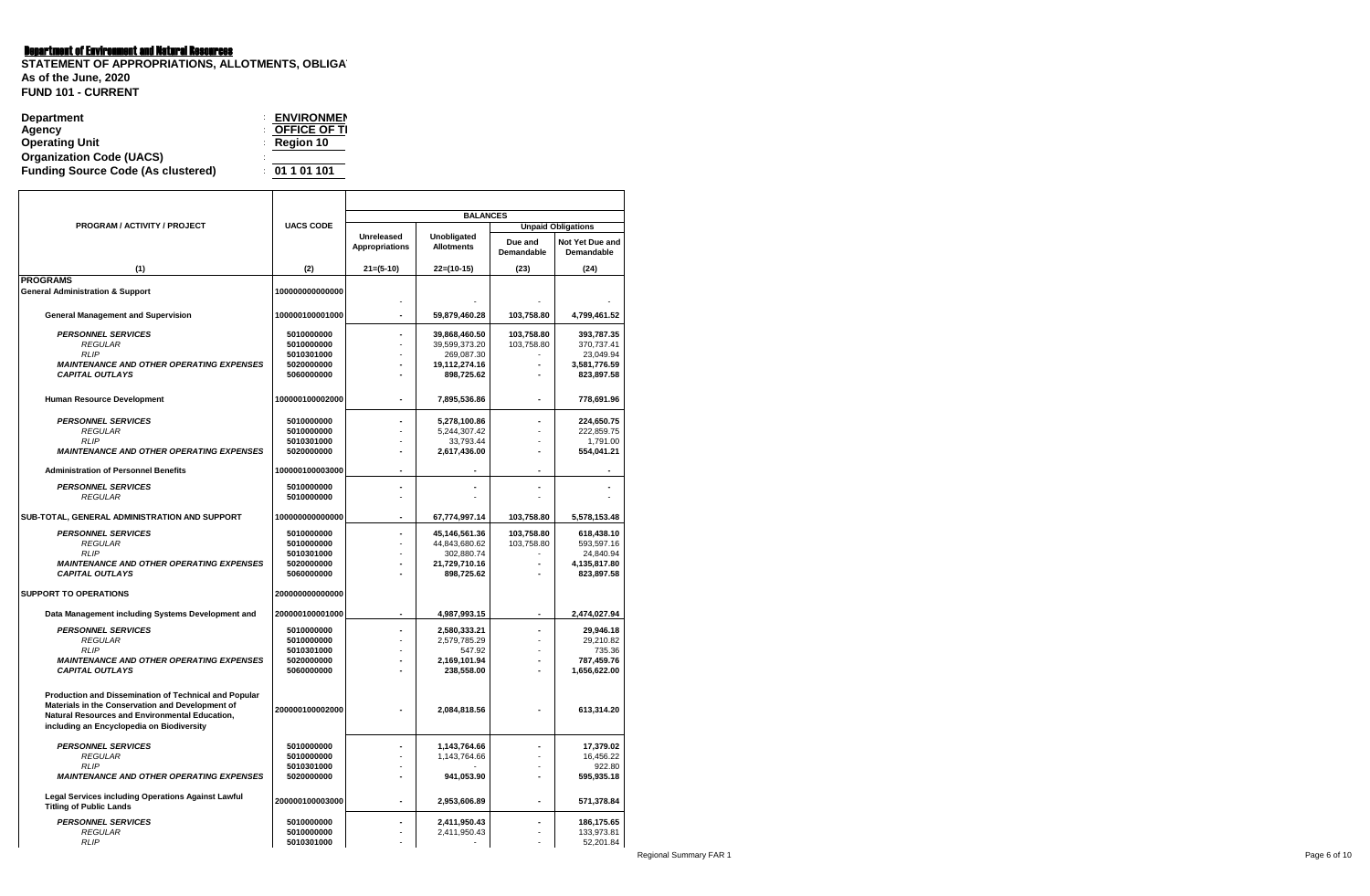## Department of Environment and Natural Resources

**STATEMENT OF APPROPRIATIONS, ALLOTMENTS, OBLIGA As of the June, 2020 FUND 101 - CURRENT**

| <b>Department</b>                         | <b>ENVIRONMEN</b>         |
|-------------------------------------------|---------------------------|
| Agency                                    | $\therefore$ OFFICE OF TI |
| <b>Operating Unit</b>                     | $\therefore$ Region 10    |
| <b>Organization Code (UACS)</b>           |                           |
| <b>Funding Source Code (As clustered)</b> | 01101101                  |

|                                                                                                           |                          |                                     | <b>BALANCES</b>                  |                       |                               |
|-----------------------------------------------------------------------------------------------------------|--------------------------|-------------------------------------|----------------------------------|-----------------------|-------------------------------|
| PROGRAM / ACTIVITY / PROJECT                                                                              | <b>UACS CODE</b>         |                                     |                                  |                       | <b>Unpaid Obligations</b>     |
|                                                                                                           |                          | Unreleased<br><b>Appropriations</b> | Unobligated<br><b>Allotments</b> | Due and<br>Demandable | Not Yet Due and<br>Demandable |
| (1)                                                                                                       | (2)                      | $21 = (5-10)$                       | $22=(10-15)$                     | (23)                  | (24)                          |
| <b>PROGRAMS</b>                                                                                           |                          |                                     |                                  |                       |                               |
| <b>General Administration &amp; Support</b>                                                               | 100000000000000          |                                     |                                  |                       |                               |
| <b>General Management and Supervision</b>                                                                 | 100000100001000          | ٠                                   | 59,879,460.28                    | 103,758.80            | 4,799,461.52                  |
| <b>PERSONNEL SERVICES</b>                                                                                 | 5010000000               |                                     | 39,868,460.50                    | 103,758.80            | 393,787.35                    |
| <b>REGULAR</b>                                                                                            | 5010000000               |                                     | 39,599,373.20                    | 103,758.80            | 370,737.41                    |
| <b>RLIP</b><br><b>MAINTENANCE AND OTHER OPERATING EXPENSES</b>                                            | 5010301000<br>5020000000 |                                     | 269,087.30                       |                       | 23,049.94                     |
| <b>CAPITAL OUTLAYS</b>                                                                                    | 5060000000               |                                     | 19,112,274.16<br>898,725.62      |                       | 3,581,776.59<br>823,897.58    |
|                                                                                                           |                          |                                     |                                  |                       |                               |
| <b>Human Resource Development</b>                                                                         | 100000100002000          |                                     | 7,895,536.86                     |                       | 778,691.96                    |
| <b>PERSONNEL SERVICES</b>                                                                                 | 5010000000               |                                     | 5,278,100.86                     |                       | 224,650.75                    |
| <b>REGULAR</b>                                                                                            | 5010000000               |                                     | 5,244,307.42                     |                       | 222,859.75                    |
| <b>RLIP</b>                                                                                               | 5010301000               |                                     | 33,793.44                        |                       | 1,791.00                      |
| <b>MAINTENANCE AND OTHER OPERATING EXPENSES</b>                                                           | 5020000000               |                                     | 2,617,436.00                     |                       | 554,041.21                    |
| <b>Administration of Personnel Benefits</b>                                                               | 100000100003000          |                                     |                                  |                       |                               |
| <b>PERSONNEL SERVICES</b>                                                                                 | 5010000000               |                                     |                                  |                       |                               |
| <b>REGULAR</b>                                                                                            | 5010000000               |                                     |                                  |                       |                               |
| SUB-TOTAL, GENERAL ADMINISTRATION AND SUPPORT                                                             | 100000000000000          |                                     | 67,774,997.14                    | 103,758.80            | 5,578,153.48                  |
| <b>PERSONNEL SERVICES</b>                                                                                 | 5010000000               | ٠                                   | 45,146,561.36                    | 103,758.80            | 618,438.10                    |
| <b>REGULAR</b>                                                                                            | 5010000000               |                                     | 44,843,680.62                    | 103,758.80            | 593,597.16                    |
| <b>RLIP</b>                                                                                               | 5010301000               |                                     | 302,880.74                       |                       | 24,840.94                     |
| <b>MAINTENANCE AND OTHER OPERATING EXPENSES</b><br><b>CAPITAL OUTLAYS</b>                                 | 5020000000<br>5060000000 |                                     | 21,729,710.16<br>898,725.62      | $\blacksquare$        | 4,135,817.80<br>823,897.58    |
| <b>SUPPORT TO OPERATIONS</b>                                                                              | 200000000000000          |                                     |                                  |                       |                               |
| Data Management including Systems Development and                                                         | 200000100001000          |                                     | 4,987,993.15                     |                       | 2,474,027.94                  |
| <b>PERSONNEL SERVICES</b>                                                                                 | 5010000000               |                                     | 2,580,333.21                     |                       | 29,946.18                     |
| <b>REGULAR</b>                                                                                            | 5010000000               |                                     | 2,579,785.29                     |                       | 29,210.82                     |
| <b>RLIP</b>                                                                                               | 5010301000               |                                     | 547.92                           |                       | 735.36                        |
| <b>MAINTENANCE AND OTHER OPERATING EXPENSES</b>                                                           | 5020000000               |                                     | 2,169,101.94                     |                       | 787,459.76                    |
| <b>CAPITAL OUTLAYS</b>                                                                                    | 5060000000               |                                     | 238,558.00                       |                       | 1,656,622.00                  |
| Production and Dissemination of Technical and Popular<br>Materials in the Conservation and Development of | 200000100002000          |                                     | 2,084,818.56                     |                       | 613,314.20                    |
| <b>Natural Resources and Environmental Education,</b><br>including an Encyclopedia on Biodiversity        |                          |                                     |                                  |                       |                               |
| <b>PERSONNEL SERVICES</b>                                                                                 | 5010000000               |                                     | 1,143,764.66                     |                       | 17,379.02                     |
| <b>REGULAR</b>                                                                                            | 5010000000               |                                     | 1,143,764.66                     |                       | 16,456.22                     |
| <b>RLIP</b>                                                                                               | 5010301000               |                                     |                                  |                       | 922.80                        |
| <b>MAINTENANCE AND OTHER OPERATING EXPENSES</b>                                                           | 5020000000               |                                     | 941,053.90                       |                       | 595,935.18                    |
| Legal Services including Operations Against Lawful<br><b>Titling of Public Lands</b>                      | 200000100003000          |                                     | 2,953,606.89                     | $\blacksquare$        | 571,378.84                    |
| <b>PERSONNEL SERVICES</b>                                                                                 | 5010000000               |                                     | 2,411,950.43                     |                       | 186,175.65                    |
| <b>REGULAR</b>                                                                                            | 5010000000               |                                     | 2,411,950.43                     |                       | 133,973.81                    |
| <b>RLIP</b>                                                                                               | 5010301000               |                                     |                                  |                       | 52,201.84                     |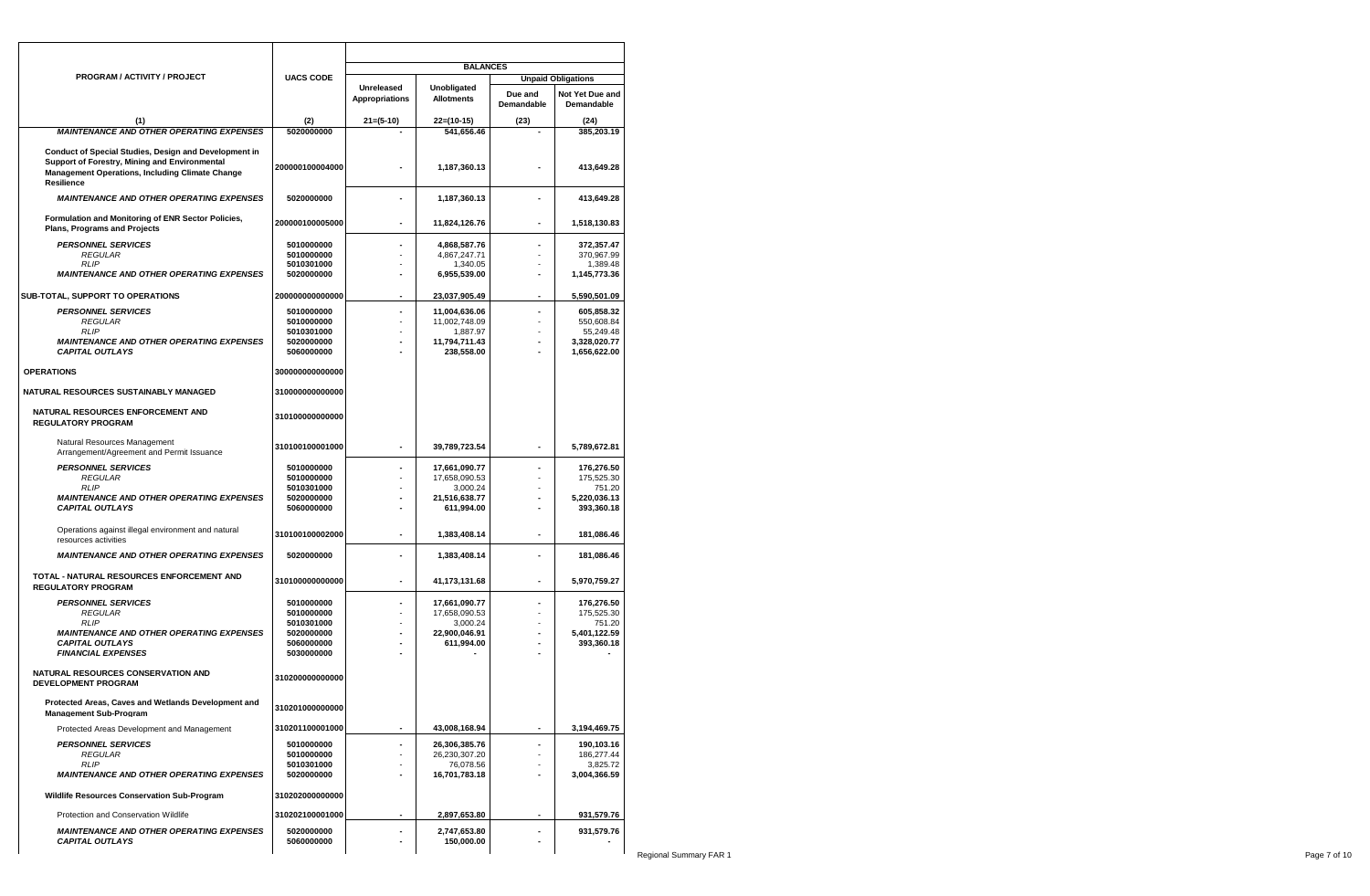|                                                                                                                                                                         |                          |                       | <b>BALANCES</b>             |                       |                               |  |  |  |
|-------------------------------------------------------------------------------------------------------------------------------------------------------------------------|--------------------------|-----------------------|-----------------------------|-----------------------|-------------------------------|--|--|--|
| <b>PROGRAM / ACTIVITY / PROJECT</b>                                                                                                                                     | <b>UACS CODE</b>         | Unreleased            | Unobligated                 |                       | <b>Unpaid Obligations</b>     |  |  |  |
|                                                                                                                                                                         |                          | <b>Appropriations</b> | <b>Allotments</b>           | Due and<br>Demandable | Not Yet Due and<br>Demandable |  |  |  |
| (1)                                                                                                                                                                     | (2)                      | $21=(5-10)$           | $22=(10-15)$                | (23)                  | (24)                          |  |  |  |
| <b>MAINTENANCE AND OTHER OPERATING EXPENSES</b>                                                                                                                         | 5020000000               |                       | 541,656.46                  |                       | 385,203.19                    |  |  |  |
| Conduct of Special Studies, Design and Development in<br>Support of Forestry, Mining and Environmental<br>Management Operations, Including Climate Change<br>Resilience | 200000100004000          |                       | 1,187,360.13                |                       | 413,649.28                    |  |  |  |
| <b>MAINTENANCE AND OTHER OPERATING EXPENSES</b>                                                                                                                         | 5020000000               |                       | 1,187,360.13                |                       | 413,649.28                    |  |  |  |
| Formulation and Monitoring of ENR Sector Policies,<br>Plans, Programs and Projects                                                                                      | 200000100005000          |                       | 11,824,126.76               |                       | 1,518,130.83                  |  |  |  |
| <b>PERSONNEL SERVICES</b>                                                                                                                                               | 5010000000               |                       | 4,868,587.76                |                       | 372,357.47                    |  |  |  |
| <b>REGULAR</b>                                                                                                                                                          | 5010000000               |                       | 4,867,247.71                |                       | 370,967.99                    |  |  |  |
| <b>RLIP</b>                                                                                                                                                             | 5010301000               |                       | 1,340.05                    |                       | 1,389.48                      |  |  |  |
| <b>MAINTENANCE AND OTHER OPERATING EXPENSES</b>                                                                                                                         | 5020000000               |                       | 6,955,539.00                |                       | 1,145,773.36                  |  |  |  |
| <b>SUB-TOTAL, SUPPORT TO OPERATIONS</b>                                                                                                                                 | 20000000000000           | ٠                     | 23,037,905.49               | $\blacksquare$        | 5,590,501.09                  |  |  |  |
| <b>PERSONNEL SERVICES</b>                                                                                                                                               | 5010000000               |                       | 11,004,636.06               |                       | 605,858.32                    |  |  |  |
| <b>REGULAR</b>                                                                                                                                                          | 5010000000               |                       | 11,002,748.09               |                       | 550,608.84                    |  |  |  |
| <b>RLIP</b>                                                                                                                                                             | 5010301000               |                       | 1,887.97                    |                       | 55.249.48                     |  |  |  |
| <b>MAINTENANCE AND OTHER OPERATING EXPENSES</b><br><b>CAPITAL OUTLAYS</b>                                                                                               | 5020000000<br>5060000000 |                       | 11,794,711.43<br>238,558.00 | ÷                     | 3,328,020.77<br>1,656,622.00  |  |  |  |
| <b>OPERATIONS</b>                                                                                                                                                       | 300000000000000          |                       |                             |                       |                               |  |  |  |
| NATURAL RESOURCES SUSTAINABLY MANAGED                                                                                                                                   | 310000000000000          |                       |                             |                       |                               |  |  |  |
| NATURAL RESOURCES ENFORCEMENT AND<br><b>REGULATORY PROGRAM</b>                                                                                                          | 310100000000000          |                       |                             |                       |                               |  |  |  |
| Natural Resources Management<br>Arrangement/Agreement and Permit Issuance                                                                                               | 310100100001000          | ٠                     | 39,789,723.54               |                       | 5,789,672.81                  |  |  |  |
| <b>PERSONNEL SERVICES</b>                                                                                                                                               | 5010000000               |                       | 17,661,090.77               |                       | 176,276.50                    |  |  |  |
| <b>REGULAR</b>                                                                                                                                                          | 5010000000               |                       | 17,658,090.53               |                       | 175,525.30                    |  |  |  |
| <b>RLIP</b>                                                                                                                                                             | 5010301000               |                       | 3,000.24                    |                       | 751.20                        |  |  |  |
| <b>MAINTENANCE AND OTHER OPERATING EXPENSES</b>                                                                                                                         | 5020000000               |                       | 21,516,638.77               |                       | 5,220,036.13                  |  |  |  |
| <b>CAPITAL OUTLAYS</b>                                                                                                                                                  | 5060000000               |                       | 611,994.00                  |                       | 393,360.18                    |  |  |  |
| Operations against illegal environment and natural<br>resources activities                                                                                              | 310100100002000          |                       | 1,383,408.14                |                       | 181,086.46                    |  |  |  |
| <b>MAINTENANCE AND OTHER OPERATING EXPENSES</b>                                                                                                                         | 5020000000               | ٠                     | 1,383,408.14                | ٠                     | 181,086.46                    |  |  |  |
| TOTAL - NATURAL RESOURCES ENFORCEMENT AND<br><b>REGULATORY PROGRAM</b>                                                                                                  | 310100000000000          | ٠                     | 41,173,131.68               | ÷                     | 5,970,759.27                  |  |  |  |
| <b>PERSONNEL SERVICES</b>                                                                                                                                               | 5010000000               |                       | 17,661,090.77               |                       | 176,276.50                    |  |  |  |
| <b>REGULAR</b>                                                                                                                                                          | 5010000000               |                       | 17,658,090.53               |                       | 175,525.30                    |  |  |  |
| <b>RLIP</b>                                                                                                                                                             | 5010301000               |                       | 3,000.24                    | ÷                     | 751.20                        |  |  |  |
| <b>MAINTENANCE AND OTHER OPERATING EXPENSES</b>                                                                                                                         | 5020000000               |                       | 22,900,046.91               | ÷,                    | 5,401,122.59                  |  |  |  |
| <b>CAPITAL OUTLAYS</b><br><b>FINANCIAL EXPENSES</b>                                                                                                                     | 5060000000<br>5030000000 |                       | 611,994.00                  | ÷                     | 393,360.18                    |  |  |  |
| <b>NATURAL RESOURCES CONSERVATION AND</b><br><b>DEVELOPMENT PROGRAM</b>                                                                                                 | 310200000000000          |                       |                             |                       |                               |  |  |  |
| Protected Areas, Caves and Wetlands Development and<br><b>Management Sub-Program</b>                                                                                    | 310201000000000          |                       |                             |                       |                               |  |  |  |
| Protected Areas Development and Management                                                                                                                              | 310201100001000          | ٠                     | 43,008,168.94               |                       | 3,194,469.75                  |  |  |  |
| <b>PERSONNEL SERVICES</b>                                                                                                                                               | 5010000000               | ٠                     | 26,306,385.76               |                       | 190,103.16                    |  |  |  |
| <b>REGULAR</b>                                                                                                                                                          | 5010000000               | ÷                     | 26,230,307.20               |                       | 186,277.44                    |  |  |  |
| <b>RLIP</b>                                                                                                                                                             | 5010301000               |                       | 76,078.56                   |                       | 3,825.72                      |  |  |  |
| <b>MAINTENANCE AND OTHER OPERATING EXPENSES</b>                                                                                                                         | 5020000000               | ٠                     | 16,701,783.18               | ٠                     | 3,004,366.59                  |  |  |  |
| Wildlife Resources Conservation Sub-Program                                                                                                                             | 310202000000000          |                       |                             |                       |                               |  |  |  |
| Protection and Conservation Wildlife                                                                                                                                    | 310202100001000          |                       | 2,897,653.80                |                       | 931,579.76                    |  |  |  |
| <b>MAINTENANCE AND OTHER OPERATING EXPENSES</b><br><b>CAPITAL OUTLAYS</b>                                                                                               | 5020000000<br>5060000000 |                       | 2.747.653.80<br>150,000.00  |                       | 931,579.76                    |  |  |  |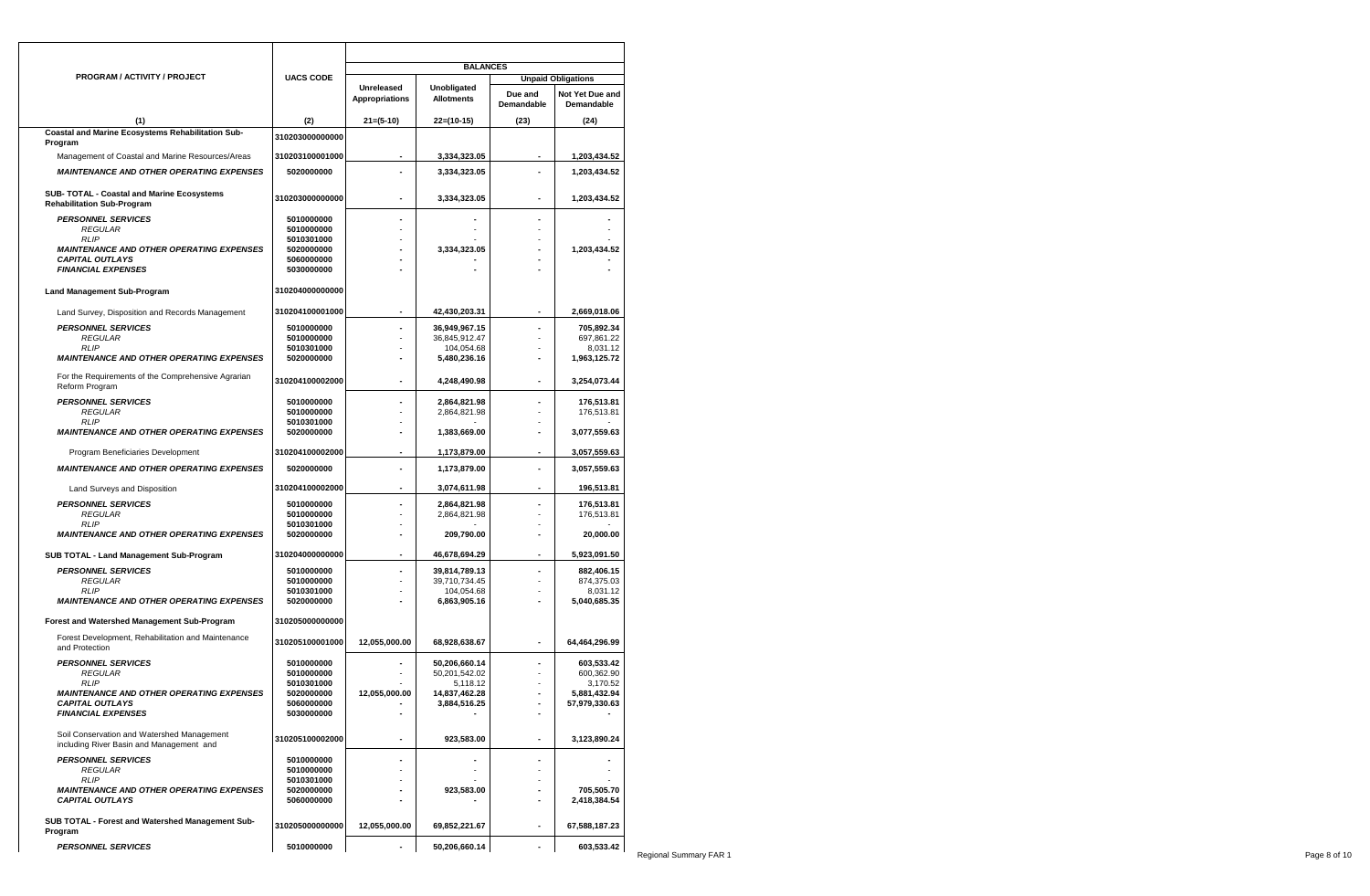|                                                                                        |                          |                                     | <b>BALANCES</b>                  |                       |                               |  |  |  |
|----------------------------------------------------------------------------------------|--------------------------|-------------------------------------|----------------------------------|-----------------------|-------------------------------|--|--|--|
| <b>PROGRAM / ACTIVITY / PROJECT</b>                                                    | <b>UACS CODE</b>         |                                     |                                  |                       | <b>Unpaid Obligations</b>     |  |  |  |
|                                                                                        |                          | Unreleased<br><b>Appropriations</b> | Unobligated<br><b>Allotments</b> | Due and<br>Demandable | Not Yet Due and<br>Demandable |  |  |  |
| (1)                                                                                    | (2)                      | $21=(5-10)$                         | $22=(10-15)$                     | (23)                  | (24)                          |  |  |  |
| Coastal and Marine Ecosystems Rehabilitation Sub-                                      | 310203000000000          |                                     |                                  |                       |                               |  |  |  |
| Program                                                                                |                          |                                     |                                  |                       |                               |  |  |  |
| Management of Coastal and Marine Resources/Areas                                       | 310203100001000          |                                     | 3,334,323.05                     |                       | 1,203,434.52                  |  |  |  |
| <b>MAINTENANCE AND OTHER OPERATING EXPENSES</b>                                        | 5020000000               |                                     | 3,334,323.05                     |                       | 1,203,434.52                  |  |  |  |
| SUB-TOTAL - Coastal and Marine Ecosystems<br><b>Rehabilitation Sub-Program</b>         | 310203000000000          |                                     | 3,334,323.05                     |                       | 1,203,434.52                  |  |  |  |
| <b>PERSONNEL SERVICES</b>                                                              | 5010000000               |                                     |                                  |                       |                               |  |  |  |
| <b>REGULAR</b>                                                                         | 5010000000               |                                     |                                  |                       |                               |  |  |  |
| <b>RLIP</b><br><b>MAINTENANCE AND OTHER OPERATING EXPENSES</b>                         | 5010301000<br>5020000000 |                                     | 3,334,323.05                     |                       | 1,203,434.52                  |  |  |  |
| <b>CAPITAL OUTLAYS</b>                                                                 | 5060000000               |                                     |                                  |                       |                               |  |  |  |
| <b>FINANCIAL EXPENSES</b>                                                              | 5030000000               |                                     |                                  |                       |                               |  |  |  |
| <b>Land Management Sub-Program</b>                                                     | 310204000000000          |                                     |                                  |                       |                               |  |  |  |
| Land Survey, Disposition and Records Management                                        | 310204100001000          |                                     | 42,430,203.31                    |                       | 2,669,018.06                  |  |  |  |
| <b>PERSONNEL SERVICES</b>                                                              | 5010000000               |                                     | 36,949,967.15                    |                       | 705.892.34                    |  |  |  |
| <b>REGULAR</b><br><b>RLIP</b>                                                          | 5010000000<br>5010301000 |                                     | 36.845.912.47                    |                       | 697.861.22                    |  |  |  |
| <b>MAINTENANCE AND OTHER OPERATING EXPENSES</b>                                        | 5020000000               |                                     | 104,054.68<br>5,480,236.16       |                       | 8,031.12<br>1,963,125.72      |  |  |  |
| For the Requirements of the Comprehensive Agrarian<br>Reform Program                   | 310204100002000          |                                     | 4,248,490.98                     | Ĭ.                    | 3,254,073.44                  |  |  |  |
| <b>PERSONNEL SERVICES</b>                                                              | 5010000000               |                                     | 2,864,821.98                     |                       | 176,513.81                    |  |  |  |
| <b>REGULAR</b>                                                                         | 5010000000               |                                     | 2,864,821.98                     |                       | 176,513.81                    |  |  |  |
| <b>RLIP</b><br><b>MAINTENANCE AND OTHER OPERATING EXPENSES</b>                         | 5010301000<br>5020000000 |                                     | 1,383,669.00                     | ۰                     | 3,077,559.63                  |  |  |  |
| Program Beneficiaries Development                                                      | 310204100002000          | ٠                                   | 1,173,879.00                     |                       | 3,057,559.63                  |  |  |  |
| <b>MAINTENANCE AND OTHER OPERATING EXPENSES</b>                                        | 5020000000               |                                     | 1,173,879.00                     |                       | 3,057,559.63                  |  |  |  |
| Land Surveys and Disposition                                                           | 310204100002000          | ٠                                   | 3,074,611.98                     |                       | 196,513.81                    |  |  |  |
| <b>PERSONNEL SERVICES</b>                                                              | 5010000000               | ä,                                  | 2,864,821.98                     | ۷                     | 176,513.81                    |  |  |  |
| <b>REGULAR</b>                                                                         | 5010000000               |                                     | 2,864,821.98                     |                       | 176,513.81                    |  |  |  |
| <b>RLIP</b><br><b>MAINTENANCE AND OTHER OPERATING EXPENSES</b>                         | 5010301000<br>5020000000 |                                     | 209,790.00                       | ÷                     | 20,000.00                     |  |  |  |
| SUB TOTAL - Land Management Sub-Program                                                | 310204000000000          | $\blacksquare$                      | 46,678,694.29                    | ٠                     | 5,923,091.50                  |  |  |  |
| <b>PERSONNEL SERVICES</b>                                                              | 5010000000               |                                     | 39,814,789.13                    |                       | 882,406.15                    |  |  |  |
| <b>REGULAR</b>                                                                         | 5010000000               |                                     | 39,710,734.45                    |                       | 874,375.03                    |  |  |  |
| <b>RLIP</b>                                                                            | 5010301000               |                                     | 104,054.68                       |                       | 8,031.12                      |  |  |  |
| <b>MAINTENANCE AND OTHER OPERATING EXPENSES</b>                                        | 5020000000               |                                     | 6,863,905.16                     |                       | 5,040,685.35                  |  |  |  |
| <b>Forest and Watershed Management Sub-Program</b>                                     | 310205000000000          |                                     |                                  |                       |                               |  |  |  |
| Forest Development, Rehabilitation and Maintenance<br>and Protection                   | 310205100001000          | 12,055,000.00                       | 68,928,638.67                    | ٠                     | 64,464,296.99                 |  |  |  |
| <b>PERSONNEL SERVICES</b>                                                              | 5010000000               |                                     | 50,206,660.14                    |                       | 603,533.42                    |  |  |  |
| <b>REGULAR</b><br><b>RLIP</b>                                                          | 5010000000<br>5010301000 |                                     | 50,201,542.02<br>5,118.12        |                       | 600,362.90<br>3,170.52        |  |  |  |
| <b>MAINTENANCE AND OTHER OPERATING EXPENSES</b>                                        | 5020000000               | 12,055,000.00                       | 14,837,462.28                    |                       | 5,881,432.94                  |  |  |  |
| <b>CAPITAL OUTLAYS</b>                                                                 | 5060000000               | ۰                                   | 3,884,516.25                     |                       | 57,979,330.63                 |  |  |  |
| <b>FINANCIAL EXPENSES</b>                                                              | 5030000000               |                                     |                                  |                       |                               |  |  |  |
| Soil Conservation and Watershed Management<br>including River Basin and Management and | 310205100002000          | ä,                                  | 923,583.00                       | $\overline{a}$        | 3,123,890.24                  |  |  |  |
| <b>PERSONNEL SERVICES</b>                                                              | 5010000000               |                                     |                                  |                       |                               |  |  |  |
| <b>REGULAR</b><br><b>RLIP</b>                                                          | 5010000000<br>5010301000 |                                     | $\sim$                           | ä,                    |                               |  |  |  |
| <b>MAINTENANCE AND OTHER OPERATING EXPENSES</b><br><b>CAPITAL OUTLAYS</b>              | 5020000000<br>5060000000 |                                     | 923,583.00                       | ä,<br>$\overline{a}$  | 705,505.70<br>2,418,384.54    |  |  |  |
| SUB TOTAL - Forest and Watershed Management Sub-<br>Program                            | 310205000000000          | 12,055,000.00                       | 69,852,221.67                    |                       | 67,588,187.23                 |  |  |  |
| <b>PERSONNEL SERVICES</b>                                                              | 5010000000               |                                     | 50,206,660.14                    | ÷                     | 603,533.42                    |  |  |  |
|                                                                                        |                          |                                     |                                  |                       |                               |  |  |  |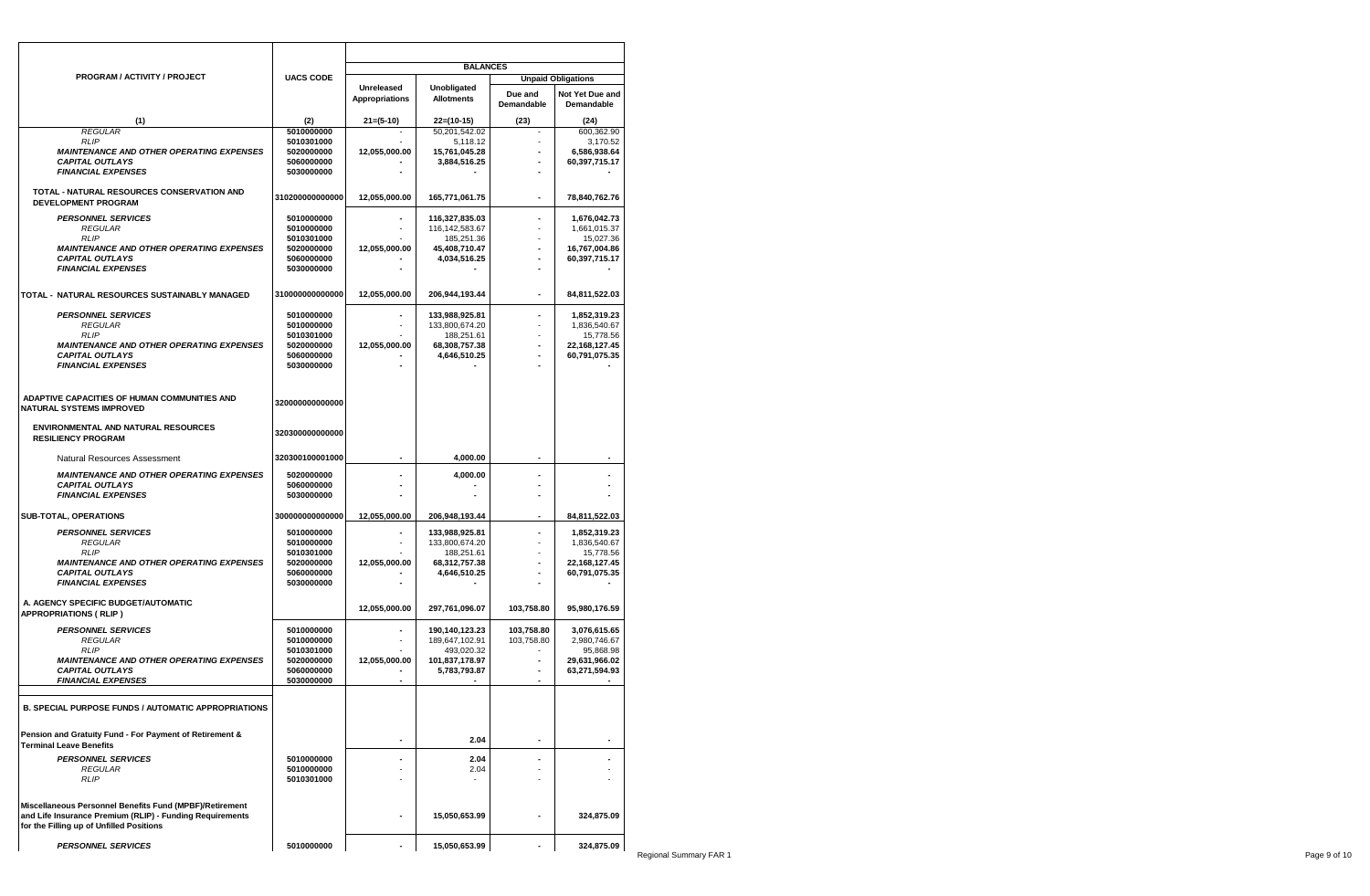|                                                                                                                                                                 |                          |                       | <b>BALANCES</b>   |                       |                               |
|-----------------------------------------------------------------------------------------------------------------------------------------------------------------|--------------------------|-----------------------|-------------------|-----------------------|-------------------------------|
| <b>PROGRAM / ACTIVITY / PROJECT</b>                                                                                                                             | <b>UACS CODE</b>         | Unreleased            | Unobligated       |                       | <b>Unpaid Obligations</b>     |
|                                                                                                                                                                 |                          | <b>Appropriations</b> | <b>Allotments</b> | Due and<br>Demandable | Not Yet Due and<br>Demandable |
| (1)                                                                                                                                                             | (2)                      | $21=(5-10)$           | 22=(10-15)        | (23)                  | (24)                          |
| <b>REGULAR</b>                                                                                                                                                  | 5010000000               |                       | 50,201,542.02     |                       | 600.362.90                    |
| <b>RLIP</b>                                                                                                                                                     | 5010301000               |                       | 5,118.12          | ٠                     | 3,170.52                      |
| <b>MAINTENANCE AND OTHER OPERATING EXPENSES</b>                                                                                                                 | 5020000000               | 12,055,000.00         | 15,761,045.28     |                       | 6,586,938.64                  |
| <b>CAPITAL OUTLAYS</b><br><b>FINANCIAL EXPENSES</b>                                                                                                             | 5060000000<br>5030000000 |                       | 3,884,516.25      |                       | 60,397,715.17                 |
| TOTAL - NATURAL RESOURCES CONSERVATION AND<br><b>DEVELOPMENT PROGRAM</b>                                                                                        | 310200000000000          | 12,055,000.00         | 165,771,061.75    | ٠                     | 78,840,762.76                 |
| <b>PERSONNEL SERVICES</b>                                                                                                                                       | 5010000000               |                       | 116,327,835.03    |                       | 1,676,042.73                  |
| <i>REGULAR</i>                                                                                                                                                  | 5010000000               |                       | 116,142,583.67    |                       | 1,661,015.37                  |
| <b>RLIP</b>                                                                                                                                                     | 5010301000               |                       | 185,251.36        |                       | 15,027.36                     |
| <b>MAINTENANCE AND OTHER OPERATING EXPENSES</b>                                                                                                                 | 5020000000               | 12,055,000.00         | 45.408.710.47     |                       | 16,767,004.86                 |
| <b>CAPITAL OUTLAYS</b>                                                                                                                                          | 5060000000               |                       | 4,034,516.25      |                       | 60,397,715.17                 |
| <b>FINANCIAL EXPENSES</b>                                                                                                                                       | 5030000000               |                       |                   |                       |                               |
| TOTAL - NATURAL RESOURCES SUSTAINABLY MANAGED                                                                                                                   | 310000000000000          | 12,055,000.00         | 206,944,193.44    |                       | 84,811,522.03                 |
| <b>PERSONNEL SERVICES</b>                                                                                                                                       | 5010000000               |                       | 133,988,925.81    | ÷                     | 1,852,319.23                  |
| <b>REGULAR</b>                                                                                                                                                  | 5010000000               |                       | 133,800,674.20    |                       | 1,836,540.67                  |
| <b>RLIP</b>                                                                                                                                                     | 5010301000               |                       | 188,251.61        |                       | 15,778.56                     |
| <b>MAINTENANCE AND OTHER OPERATING EXPENSES</b>                                                                                                                 | 5020000000               | 12,055,000.00         | 68,308,757.38     |                       | 22,168,127.45                 |
| <b>CAPITAL OUTLAYS</b><br><b>FINANCIAL EXPENSES</b>                                                                                                             | 5060000000<br>5030000000 |                       | 4.646.510.25      |                       | 60,791,075.35                 |
|                                                                                                                                                                 |                          |                       |                   |                       |                               |
| ADAPTIVE CAPACITIES OF HUMAN COMMUNITIES AND<br><b>NATURAL SYSTEMS IMPROVED</b>                                                                                 | 320000000000000          |                       |                   |                       |                               |
| <b>ENVIRONMENTAL AND NATURAL RESOURCES</b><br><b>RESILIENCY PROGRAM</b>                                                                                         | 320300000000000          |                       |                   |                       |                               |
| Natural Resources Assessment                                                                                                                                    | 320300100001000          | $\blacksquare$        | 4.000.00          |                       | $\overline{\phantom{a}}$      |
| <b>MAINTENANCE AND OTHER OPERATING EXPENSES</b>                                                                                                                 | 5020000000               |                       | 4,000.00          |                       |                               |
| <b>CAPITAL OUTLAYS</b>                                                                                                                                          | 5060000000               |                       |                   |                       |                               |
| <b>FINANCIAL EXPENSES</b>                                                                                                                                       | 5030000000               |                       |                   |                       |                               |
| SUB-TOTAL, OPERATIONS                                                                                                                                           | 300000000000000          | 12,055,000.00         | 206,948,193.44    | $\blacksquare$        | 84,811,522.03                 |
| <b>PERSONNEL SERVICES</b>                                                                                                                                       | 5010000000               |                       | 133,988,925.81    | ٠                     | 1,852,319.23                  |
| <b>REGULAR</b>                                                                                                                                                  | 5010000000               |                       | 133,800,674.20    |                       | 1,836,540.67                  |
| <b>RLIP</b>                                                                                                                                                     | 5010301000               |                       | 188,251.61        |                       | 15,778.56                     |
| <b>MAINTENANCE AND OTHER OPERATING EXPENSES</b>                                                                                                                 | 5020000000               | 12,055,000.00         | 68,312,757.38     |                       | 22,168,127.45                 |
| <b>CAPITAL OUTLAYS</b>                                                                                                                                          | 5060000000               |                       | 4,646,510.25      | ٠                     | 60,791,075.35                 |
| <b>FINANCIAL EXPENSES</b>                                                                                                                                       | 5030000000               |                       |                   |                       |                               |
| A. AGENCY SPECIFIC BUDGET/AUTOMATIC<br><b>APPROPRIATIONS ( RLIP )</b>                                                                                           |                          | 12,055,000.00         | 297,761,096.07    | 103,758.80            | 95,980,176.59                 |
| <b>PERSONNEL SERVICES</b>                                                                                                                                       | 5010000000               |                       | 190,140,123.23    | 103,758.80            | 3,076,615.65                  |
| <b>REGULAR</b>                                                                                                                                                  | 5010000000               |                       | 189,647,102.91    | 103,758.80            | 2,980,746.67                  |
| <b>RLIP</b>                                                                                                                                                     | 5010301000               |                       | 493,020.32        |                       | 95,868.98                     |
| <b>MAINTENANCE AND OTHER OPERATING EXPENSES</b>                                                                                                                 | 5020000000               | 12,055,000.00         | 101,837,178.97    | $\blacksquare$        | 29,631,966.02                 |
| <b>CAPITAL OUTLAYS</b><br><b>FINANCIAL EXPENSES</b>                                                                                                             | 5060000000<br>5030000000 |                       | 5,783,793.87      |                       | 63,271,594.93                 |
|                                                                                                                                                                 |                          |                       |                   |                       |                               |
| B. SPECIAL PURPOSE FUNDS / AUTOMATIC APPROPRIATIONS                                                                                                             |                          |                       |                   |                       |                               |
| Pension and Gratuity Fund - For Payment of Retirement &<br><b>Terminal Leave Benefits</b>                                                                       |                          | ٠                     | 2.04              | ٠                     |                               |
| <b>PERSONNEL SERVICES</b>                                                                                                                                       | 5010000000               | ٠                     | 2.04              |                       |                               |
| <b>REGULAR</b>                                                                                                                                                  | 5010000000               |                       | 2.04              |                       |                               |
| RLIP                                                                                                                                                            | 5010301000               |                       |                   |                       |                               |
|                                                                                                                                                                 |                          |                       |                   |                       |                               |
| Miscellaneous Personnel Benefits Fund (MPBF)/Retirement<br>and Life Insurance Premium (RLIP) - Funding Requirements<br>for the Filling up of Unfilled Positions |                          |                       | 15,050,653.99     |                       | 324,875.09                    |
| <b>PERSONNEL SERVICES</b>                                                                                                                                       | 5010000000               |                       | 15,050,653.99     |                       | 324,875.09                    |